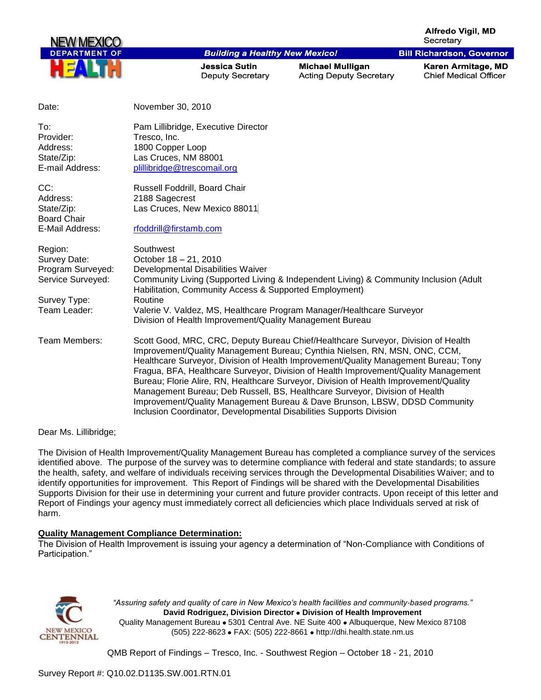**Alfredo Viail, MD** Secretary

**Bill Richardson, Governor** 



### **Building a Healthy New Mexico!**

**Jessica Sutin Deputy Secretary**  **Michael Mulligan Acting Deputy Secretary**  Karen Armitage, MD **Chief Medical Officer** 

| Date:                                                                                             | November 30, 2010                                                                                                                                                                                                                                                                                                                                                                                                                                                                                                                                                                                                                                                          |
|---------------------------------------------------------------------------------------------------|----------------------------------------------------------------------------------------------------------------------------------------------------------------------------------------------------------------------------------------------------------------------------------------------------------------------------------------------------------------------------------------------------------------------------------------------------------------------------------------------------------------------------------------------------------------------------------------------------------------------------------------------------------------------------|
| To:<br>Provider:<br>Address:<br>State/Zip:<br>E-mail Address:                                     | Pam Lillibridge, Executive Director<br>Tresco, Inc.<br>1800 Copper Loop<br>Las Cruces, NM 88001<br>plillibridge@trescomail.org                                                                                                                                                                                                                                                                                                                                                                                                                                                                                                                                             |
| CC:<br>Address:<br>State/Zip:<br><b>Board Chair</b><br>E-Mail Address:                            | Russell Foddrill, Board Chair<br>2188 Sagecrest<br>Las Cruces, New Mexico 88011<br>rfoddrill@firstamb.com                                                                                                                                                                                                                                                                                                                                                                                                                                                                                                                                                                  |
| Region:<br>Survey Date:<br>Program Surveyed:<br>Service Surveyed:<br>Survey Type:<br>Team Leader: | Southwest<br>October 18 - 21, 2010<br>Developmental Disabilities Waiver<br>Community Living (Supported Living & Independent Living) & Community Inclusion (Adult<br>Habilitation, Community Access & Supported Employment)<br>Routine<br>Valerie V. Valdez, MS, Healthcare Program Manager/Healthcare Surveyor<br>Division of Health Improvement/Quality Management Bureau                                                                                                                                                                                                                                                                                                 |
| Team Members:                                                                                     | Scott Good, MRC, CRC, Deputy Bureau Chief/Healthcare Surveyor, Division of Health<br>Improvement/Quality Management Bureau; Cynthia Nielsen, RN, MSN, ONC, CCM,<br>Healthcare Surveyor, Division of Health Improvement/Quality Management Bureau; Tony<br>Fragua, BFA, Healthcare Surveyor, Division of Health Improvement/Quality Management<br>Bureau; Florie Alire, RN, Healthcare Surveyor, Division of Health Improvement/Quality<br>Management Bureau; Deb Russell, BS, Healthcare Surveyor, Division of Health<br>Improvement/Quality Management Bureau & Dave Brunson, LBSW, DDSD Community<br>Inclusion Coordinator, Developmental Disabilities Supports Division |

Dear Ms. Lillibridge;

The Division of Health Improvement/Quality Management Bureau has completed a compliance survey of the services identified above. The purpose of the survey was to determine compliance with federal and state standards; to assure the health, safety, and welfare of individuals receiving services through the Developmental Disabilities Waiver; and to identify opportunities for improvement. This Report of Findings will be shared with the Developmental Disabilities Supports Division for their use in determining your current and future provider contracts. Upon receipt of this letter and Report of Findings your agency must immediately correct all deficiencies which place Individuals served at risk of harm.

### **Quality Management Compliance Determination:**

The Division of Health Improvement is issuing your agency a determination of "Non-Compliance with Conditions of Participation."



*"Assuring safety and quality of care in New Mexico's health facilities and community-based programs."* **David Rodriguez, Division Director Division of Health Improvement**  Quality Management Bureau • 5301 Central Ave. NE Suite 400 • Albuquerque, New Mexico 87108 (505) 222-8623 • FAX: (505) 222-8661 • http://dhi.health.state.nm.us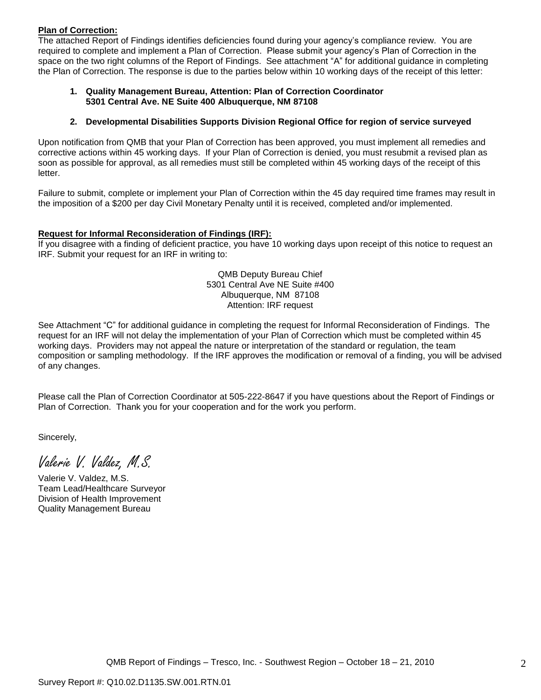## **Plan of Correction:**

The attached Report of Findings identifies deficiencies found during your agency"s compliance review. You are required to complete and implement a Plan of Correction. Please submit your agency"s Plan of Correction in the space on the two right columns of the Report of Findings. See attachment "A" for additional guidance in completing the Plan of Correction. The response is due to the parties below within 10 working days of the receipt of this letter:

### **1. Quality Management Bureau, Attention: Plan of Correction Coordinator 5301 Central Ave. NE Suite 400 Albuquerque, NM 87108**

### **2. Developmental Disabilities Supports Division Regional Office for region of service surveyed**

Upon notification from QMB that your Plan of Correction has been approved, you must implement all remedies and corrective actions within 45 working days. If your Plan of Correction is denied, you must resubmit a revised plan as soon as possible for approval, as all remedies must still be completed within 45 working days of the receipt of this letter.

Failure to submit, complete or implement your Plan of Correction within the 45 day required time frames may result in the imposition of a \$200 per day Civil Monetary Penalty until it is received, completed and/or implemented.

### **Request for Informal Reconsideration of Findings (IRF):**

If you disagree with a finding of deficient practice, you have 10 working days upon receipt of this notice to request an IRF. Submit your request for an IRF in writing to:

> QMB Deputy Bureau Chief 5301 Central Ave NE Suite #400 Albuquerque, NM 87108 Attention: IRF request

See Attachment "C" for additional guidance in completing the request for Informal Reconsideration of Findings. The request for an IRF will not delay the implementation of your Plan of Correction which must be completed within 45 working days. Providers may not appeal the nature or interpretation of the standard or regulation, the team composition or sampling methodology. If the IRF approves the modification or removal of a finding, you will be advised of any changes.

Please call the Plan of Correction Coordinator at 505-222-8647 if you have questions about the Report of Findings or Plan of Correction. Thank you for your cooperation and for the work you perform.

Sincerely,

Valerie V. Valdez, M.S.

Valerie V. Valdez, M.S. Team Lead/Healthcare Surveyor Division of Health Improvement Quality Management Bureau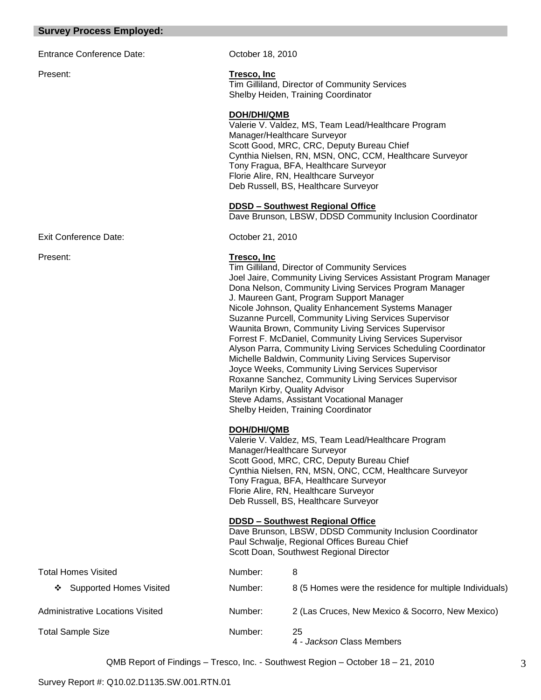### **Survey Process Employed:**

# Entrance Conference Date: October 18, 2010

Exit Conference Date: Conference Date: Conference Date:

### Present: **Tresco, Inc**

Tim Gilliland, Director of Community Services Shelby Heiden, Training Coordinator

### **DOH/DHI/QMB**

Valerie V. Valdez, MS, Team Lead/Healthcare Program Manager/Healthcare Surveyor Scott Good, MRC, CRC, Deputy Bureau Chief Cynthia Nielsen, RN, MSN, ONC, CCM, Healthcare Surveyor Tony Fragua, BFA, Healthcare Surveyor Florie Alire, RN, Healthcare Surveyor Deb Russell, BS, Healthcare Surveyor

## **DDSD – Southwest Regional Office**

Dave Brunson, LBSW, DDSD Community Inclusion Coordinator

### Present: **Tresco, Inc**

Tim Gilliland, Director of Community Services Joel Jaire, Community Living Services Assistant Program Manager Dona Nelson, Community Living Services Program Manager J. Maureen Gant, Program Support Manager Nicole Johnson, Quality Enhancement Systems Manager Suzanne Purcell, Community Living Services Supervisor Waunita Brown, Community Living Services Supervisor Forrest F. McDaniel, Community Living Services Supervisor Alyson Parra, Community Living Services Scheduling Coordinator Michelle Baldwin, Community Living Services Supervisor Joyce Weeks, Community Living Services Supervisor Roxanne Sanchez, Community Living Services Supervisor Marilyn Kirby, Quality Advisor Steve Adams, Assistant Vocational Manager Shelby Heiden, Training Coordinator

## **DOH/DHI/QMB**

Valerie V. Valdez, MS, Team Lead/Healthcare Program Manager/Healthcare Surveyor Scott Good, MRC, CRC, Deputy Bureau Chief Cynthia Nielsen, RN, MSN, ONC, CCM, Healthcare Surveyor Tony Fragua, BFA, Healthcare Surveyor Florie Alire, RN, Healthcare Surveyor Deb Russell, BS, Healthcare Surveyor

### **DDSD – Southwest Regional Office**

Dave Brunson, LBSW, DDSD Community Inclusion Coordinator Paul Schwalje, Regional Offices Bureau Chief Scott Doan, Southwest Regional Director

| Total Homes Visited              | Number: | 8                                                       |
|----------------------------------|---------|---------------------------------------------------------|
| Supported Homes Visited<br>❖     | Number: | 8 (5 Homes were the residence for multiple Individuals) |
| Administrative Locations Visited | Number: | 2 (Las Cruces, New Mexico & Socorro, New Mexico)        |
| <b>Total Sample Size</b>         | Number: | 25<br>4 - Jackson Class Members                         |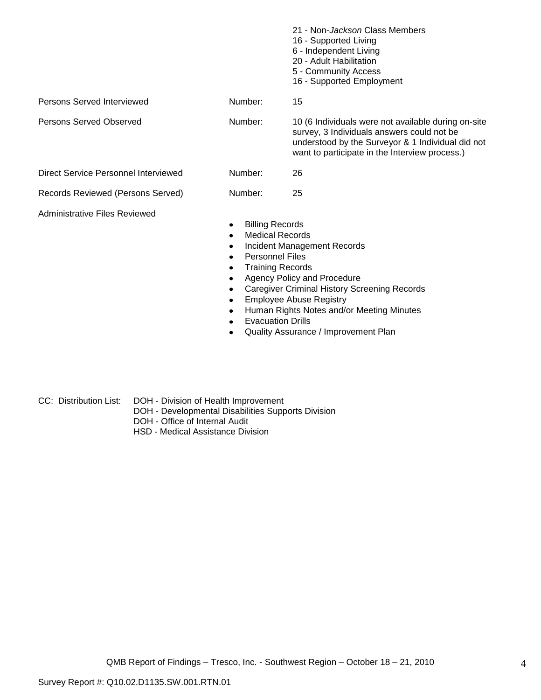|                                      |                                                                                                                                                                                                                           | 21 - Non-Jackson Class Members<br>16 - Supported Living<br>6 - Independent Living<br>20 - Adult Habilitation<br>5 - Community Access<br>16 - Supported Employment                                        |
|--------------------------------------|---------------------------------------------------------------------------------------------------------------------------------------------------------------------------------------------------------------------------|----------------------------------------------------------------------------------------------------------------------------------------------------------------------------------------------------------|
| Persons Served Interviewed           | Number:                                                                                                                                                                                                                   | 15                                                                                                                                                                                                       |
| Persons Served Observed              | Number:                                                                                                                                                                                                                   | 10 (6 Individuals were not available during on-site<br>survey, 3 Individuals answers could not be<br>understood by the Surveyor & 1 Individual did not<br>want to participate in the Interview process.) |
| Direct Service Personnel Interviewed | Number:                                                                                                                                                                                                                   | 26                                                                                                                                                                                                       |
| Records Reviewed (Persons Served)    | Number:                                                                                                                                                                                                                   | 25                                                                                                                                                                                                       |
| Administrative Files Reviewed        | <b>Billing Records</b><br><b>Medical Records</b><br>$\bullet$<br>٠<br><b>Personnel Files</b><br>$\bullet$<br><b>Training Records</b><br>٠<br>$\bullet$<br>$\bullet$<br>$\bullet$<br><b>Evacuation Drills</b><br>$\bullet$ | Incident Management Records<br>Agency Policy and Procedure<br><b>Caregiver Criminal History Screening Records</b><br><b>Employee Abuse Registry</b><br>Human Rights Notes and/or Meeting Minutes         |

Quality Assurance / Improvement Plan

CC: Distribution List: DOH - Division of Health Improvement

DOH - Developmental Disabilities Supports Division

 $\bullet$ 

- DOH Office of Internal Audit
- HSD Medical Assistance Division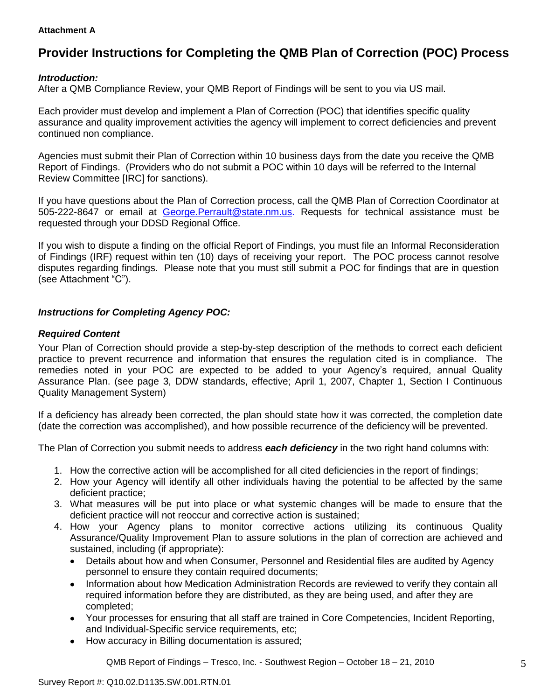## **Attachment A**

# **Provider Instructions for Completing the QMB Plan of Correction (POC) Process**

# *Introduction:*

After a QMB Compliance Review, your QMB Report of Findings will be sent to you via US mail.

Each provider must develop and implement a Plan of Correction (POC) that identifies specific quality assurance and quality improvement activities the agency will implement to correct deficiencies and prevent continued non compliance.

Agencies must submit their Plan of Correction within 10 business days from the date you receive the QMB Report of Findings. (Providers who do not submit a POC within 10 days will be referred to the Internal Review Committee [IRC] for sanctions).

If you have questions about the Plan of Correction process, call the QMB Plan of Correction Coordinator at 505-222-8647 or email at George.Perrault@state.nm.us. Requests for technical assistance must be requested through your DDSD Regional Office.

If you wish to dispute a finding on the official Report of Findings, you must file an Informal Reconsideration of Findings (IRF) request within ten (10) days of receiving your report. The POC process cannot resolve disputes regarding findings. Please note that you must still submit a POC for findings that are in question (see Attachment "C").

# *Instructions for Completing Agency POC:*

# *Required Content*

Your Plan of Correction should provide a step-by-step description of the methods to correct each deficient practice to prevent recurrence and information that ensures the regulation cited is in compliance. The remedies noted in your POC are expected to be added to your Agency"s required, annual Quality Assurance Plan. (see page 3, DDW standards, effective; April 1, 2007, Chapter 1, Section I Continuous Quality Management System)

If a deficiency has already been corrected, the plan should state how it was corrected, the completion date (date the correction was accomplished), and how possible recurrence of the deficiency will be prevented.

The Plan of Correction you submit needs to address *each deficiency* in the two right hand columns with:

- 1. How the corrective action will be accomplished for all cited deficiencies in the report of findings;
- 2. How your Agency will identify all other individuals having the potential to be affected by the same deficient practice;
- 3. What measures will be put into place or what systemic changes will be made to ensure that the deficient practice will not reoccur and corrective action is sustained;
- 4. How your Agency plans to monitor corrective actions utilizing its continuous Quality Assurance/Quality Improvement Plan to assure solutions in the plan of correction are achieved and sustained, including (if appropriate):
	- Details about how and when Consumer, Personnel and Residential files are audited by Agency  $\bullet$ personnel to ensure they contain required documents;
	- Information about how Medication Administration Records are reviewed to verify they contain all  $\bullet$ required information before they are distributed, as they are being used, and after they are completed;
	- Your processes for ensuring that all staff are trained in Core Competencies, Incident Reporting, and Individual-Specific service requirements, etc;
	- How accuracy in Billing documentation is assured;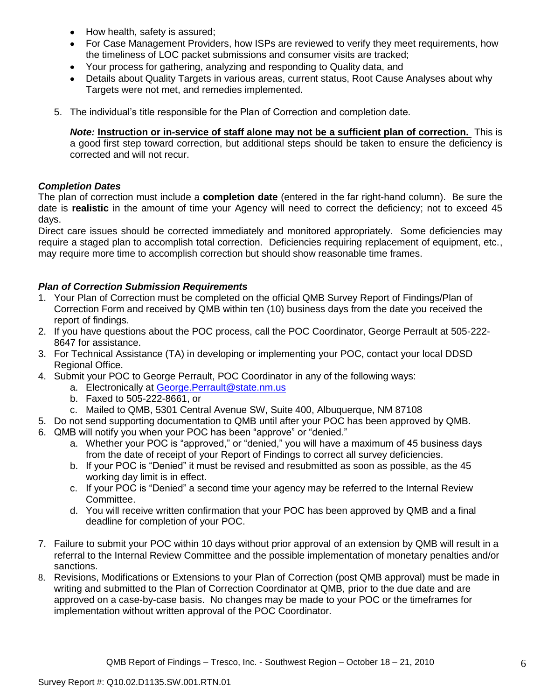- How health, safety is assured;  $\bullet$
- For Case Management Providers, how ISPs are reviewed to verify they meet requirements, how the timeliness of LOC packet submissions and consumer visits are tracked;
- $\bullet$ Your process for gathering, analyzing and responding to Quality data, and
- Details about Quality Targets in various areas, current status, Root Cause Analyses about why Targets were not met, and remedies implemented.
- 5. The individual"s title responsible for the Plan of Correction and completion date.

*Note:* **Instruction or in-service of staff alone may not be a sufficient plan of correction.** This is a good first step toward correction, but additional steps should be taken to ensure the deficiency is corrected and will not recur.

# *Completion Dates*

The plan of correction must include a **completion date** (entered in the far right-hand column). Be sure the date is **realistic** in the amount of time your Agency will need to correct the deficiency; not to exceed 45 days.

Direct care issues should be corrected immediately and monitored appropriately. Some deficiencies may require a staged plan to accomplish total correction. Deficiencies requiring replacement of equipment, etc., may require more time to accomplish correction but should show reasonable time frames.

# *Plan of Correction Submission Requirements*

- 1. Your Plan of Correction must be completed on the official QMB Survey Report of Findings/Plan of Correction Form and received by QMB within ten (10) business days from the date you received the report of findings.
- 2. If you have questions about the POC process, call the POC Coordinator, George Perrault at 505-222- 8647 for assistance.
- 3. For Technical Assistance (TA) in developing or implementing your POC, contact your local DDSD Regional Office.
- 4. Submit your POC to George Perrault, POC Coordinator in any of the following ways:
	- a. Electronically at [George.Perrault@state.nm.us](mailto:George.Perrault@state.nm.us)
	- b. Faxed to 505-222-8661, or
	- c. Mailed to QMB, 5301 Central Avenue SW, Suite 400, Albuquerque, NM 87108
- 5. Do not send supporting documentation to QMB until after your POC has been approved by QMB.
- 6. QMB will notify you when your POC has been "approve" or "denied."
	- a. Whether your POC is "approved," or "denied," you will have a maximum of 45 business days from the date of receipt of your Report of Findings to correct all survey deficiencies.
	- b. If your POC is "Denied" it must be revised and resubmitted as soon as possible, as the 45 working day limit is in effect.
	- c. If your POC is "Denied" a second time your agency may be referred to the Internal Review Committee.
	- d. You will receive written confirmation that your POC has been approved by QMB and a final deadline for completion of your POC.
- 7. Failure to submit your POC within 10 days without prior approval of an extension by QMB will result in a referral to the Internal Review Committee and the possible implementation of monetary penalties and/or sanctions.
- 8. Revisions, Modifications or Extensions to your Plan of Correction (post QMB approval) must be made in writing and submitted to the Plan of Correction Coordinator at QMB, prior to the due date and are approved on a case-by-case basis. No changes may be made to your POC or the timeframes for implementation without written approval of the POC Coordinator.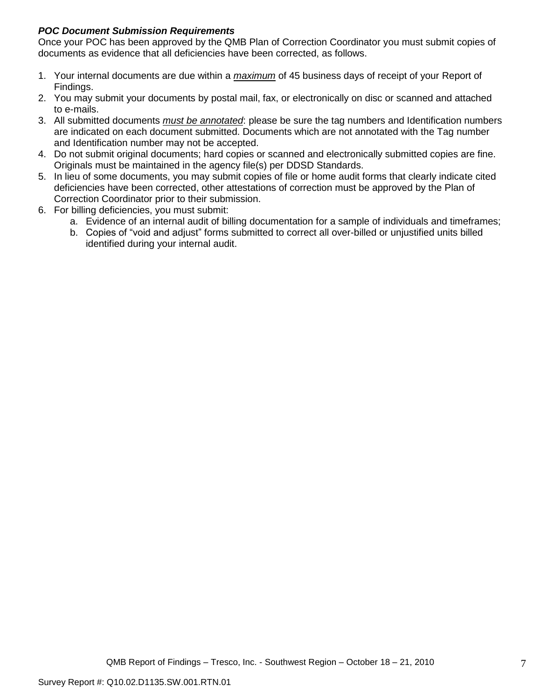# *POC Document Submission Requirements*

Once your POC has been approved by the QMB Plan of Correction Coordinator you must submit copies of documents as evidence that all deficiencies have been corrected, as follows.

- 1. Your internal documents are due within a *maximum* of 45 business days of receipt of your Report of Findings.
- 2. You may submit your documents by postal mail, fax, or electronically on disc or scanned and attached to e-mails.
- 3. All submitted documents *must be annotated*: please be sure the tag numbers and Identification numbers are indicated on each document submitted. Documents which are not annotated with the Tag number and Identification number may not be accepted.
- 4. Do not submit original documents; hard copies or scanned and electronically submitted copies are fine. Originals must be maintained in the agency file(s) per DDSD Standards.
- 5. In lieu of some documents, you may submit copies of file or home audit forms that clearly indicate cited deficiencies have been corrected, other attestations of correction must be approved by the Plan of Correction Coordinator prior to their submission.
- 6. For billing deficiencies, you must submit:
	- a. Evidence of an internal audit of billing documentation for a sample of individuals and timeframes;
	- b. Copies of "void and adjust" forms submitted to correct all over-billed or unjustified units billed identified during your internal audit.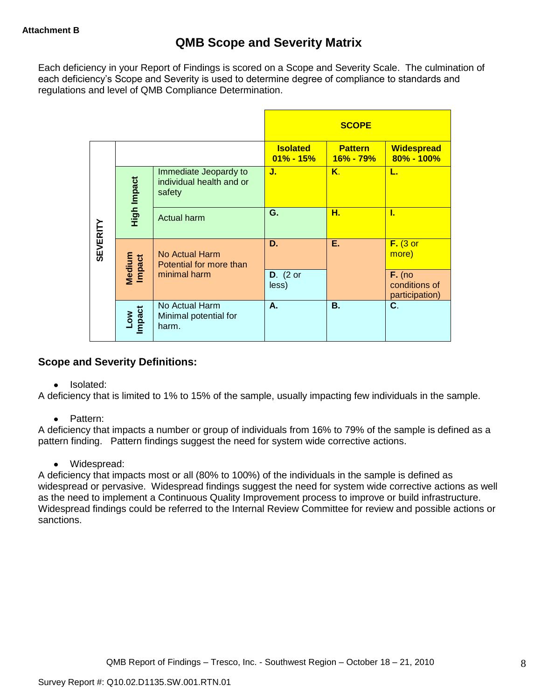Each deficiency in your Report of Findings is scored on a Scope and Severity Scale. The culmination of each deficiency"s Scope and Severity is used to determine degree of compliance to standards and regulations and level of QMB Compliance Determination.

|                 |                      |                                                             |                                  | <b>SCOPE</b>                |                                             |
|-----------------|----------------------|-------------------------------------------------------------|----------------------------------|-----------------------------|---------------------------------------------|
|                 |                      |                                                             | <b>Isolated</b><br>$01\% - 15\%$ | <b>Pattern</b><br>16% - 79% | <b>Widespread</b><br>80% - 100%             |
|                 | High Impact          | Immediate Jeopardy to<br>individual health and or<br>safety | J.                               | Κ.                          | L.                                          |
|                 |                      | <b>Actual harm</b>                                          | G.                               | н.                          | L                                           |
| <b>SEVERITY</b> | Medium<br>Impact     | No Actual Harm<br>Potential for more than                   | D.                               | Ε.                          | $F.$ (3 or<br>more)                         |
|                 |                      | minimal harm                                                | $D.$ (2 or<br>less)              |                             | $F.$ (no<br>conditions of<br>participation) |
|                 | <b>Impact</b><br>Low | No Actual Harm<br>Minimal potential for<br>harm.            | А.                               | <b>B.</b>                   | C.                                          |

# **Scope and Severity Definitions:**

• Isolated:

A deficiency that is limited to 1% to 15% of the sample, usually impacting few individuals in the sample.

• Pattern:

A deficiency that impacts a number or group of individuals from 16% to 79% of the sample is defined as a pattern finding. Pattern findings suggest the need for system wide corrective actions.

• Widespread:

A deficiency that impacts most or all (80% to 100%) of the individuals in the sample is defined as widespread or pervasive. Widespread findings suggest the need for system wide corrective actions as well as the need to implement a Continuous Quality Improvement process to improve or build infrastructure. Widespread findings could be referred to the Internal Review Committee for review and possible actions or sanctions.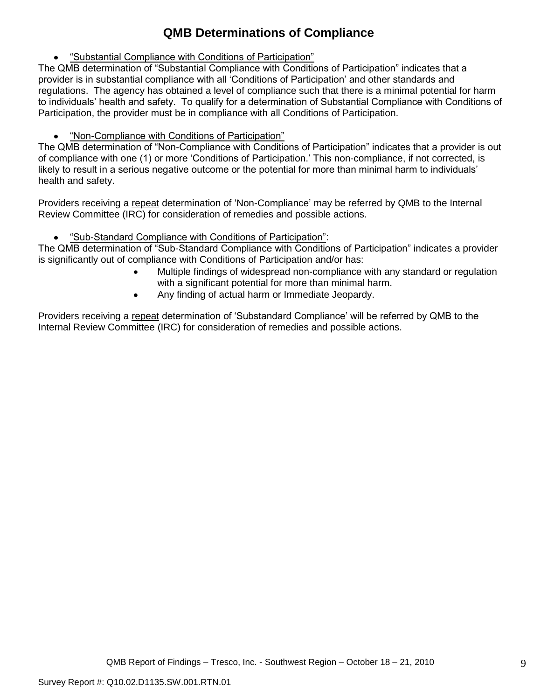# **QMB Determinations of Compliance**

"Substantial Compliance with Conditions of Participation"

The QMB determination of "Substantial Compliance with Conditions of Participation" indicates that a provider is in substantial compliance with all "Conditions of Participation" and other standards and regulations. The agency has obtained a level of compliance such that there is a minimal potential for harm to individuals" health and safety. To qualify for a determination of Substantial Compliance with Conditions of Participation, the provider must be in compliance with all Conditions of Participation.

"Non-Compliance with Conditions of Participation"

The QMB determination of "Non-Compliance with Conditions of Participation" indicates that a provider is out of compliance with one (1) or more "Conditions of Participation." This non-compliance, if not corrected, is likely to result in a serious negative outcome or the potential for more than minimal harm to individuals" health and safety.

Providers receiving a repeat determination of 'Non-Compliance' may be referred by QMB to the Internal Review Committee (IRC) for consideration of remedies and possible actions.

"Sub-Standard Compliance with Conditions of Participation":

The QMB determination of "Sub-Standard Compliance with Conditions of Participation" indicates a provider is significantly out of compliance with Conditions of Participation and/or has:

- Multiple findings of widespread non-compliance with any standard or regulation with a significant potential for more than minimal harm.
- Any finding of actual harm or Immediate Jeopardy.

Providers receiving a repeat determination of 'Substandard Compliance' will be referred by QMB to the Internal Review Committee (IRC) for consideration of remedies and possible actions.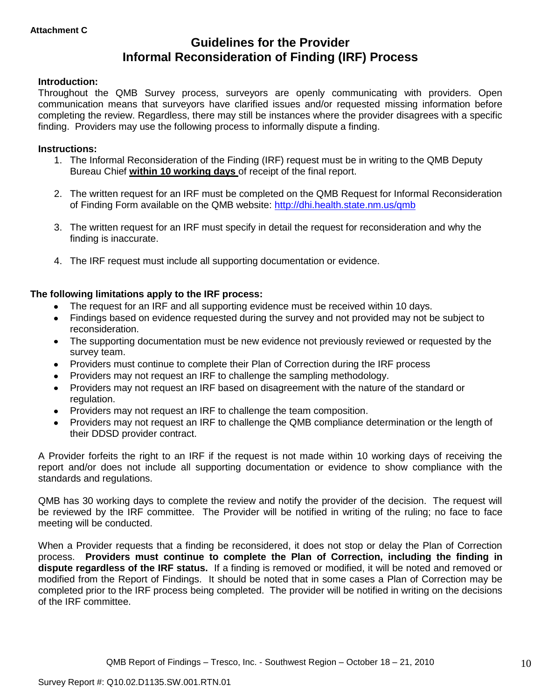# **Guidelines for the Provider Informal Reconsideration of Finding (IRF) Process**

# **Introduction:**

Throughout the QMB Survey process, surveyors are openly communicating with providers. Open communication means that surveyors have clarified issues and/or requested missing information before completing the review. Regardless, there may still be instances where the provider disagrees with a specific finding. Providers may use the following process to informally dispute a finding.

### **Instructions:**

- 1. The Informal Reconsideration of the Finding (IRF) request must be in writing to the QMB Deputy Bureau Chief **within 10 working days** of receipt of the final report.
- 2. The written request for an IRF must be completed on the QMB Request for Informal Reconsideration of Finding Form available on the QMB website:<http://dhi.health.state.nm.us/qmb>
- 3. The written request for an IRF must specify in detail the request for reconsideration and why the finding is inaccurate.
- 4. The IRF request must include all supporting documentation or evidence.

# **The following limitations apply to the IRF process:**

- The request for an IRF and all supporting evidence must be received within 10 days.
- Findings based on evidence requested during the survey and not provided may not be subject to reconsideration.
- The supporting documentation must be new evidence not previously reviewed or requested by the survey team.
- Providers must continue to complete their Plan of Correction during the IRF process  $\bullet$
- Providers may not request an IRF to challenge the sampling methodology.
- Providers may not request an IRF based on disagreement with the nature of the standard or  $\bullet$ regulation.
- Providers may not request an IRF to challenge the team composition.
- Providers may not request an IRF to challenge the QMB compliance determination or the length of  $\bullet$ their DDSD provider contract.

A Provider forfeits the right to an IRF if the request is not made within 10 working days of receiving the report and/or does not include all supporting documentation or evidence to show compliance with the standards and regulations.

QMB has 30 working days to complete the review and notify the provider of the decision. The request will be reviewed by the IRF committee. The Provider will be notified in writing of the ruling; no face to face meeting will be conducted.

When a Provider requests that a finding be reconsidered, it does not stop or delay the Plan of Correction process. **Providers must continue to complete the Plan of Correction, including the finding in dispute regardless of the IRF status.** If a finding is removed or modified, it will be noted and removed or modified from the Report of Findings. It should be noted that in some cases a Plan of Correction may be completed prior to the IRF process being completed. The provider will be notified in writing on the decisions of the IRF committee.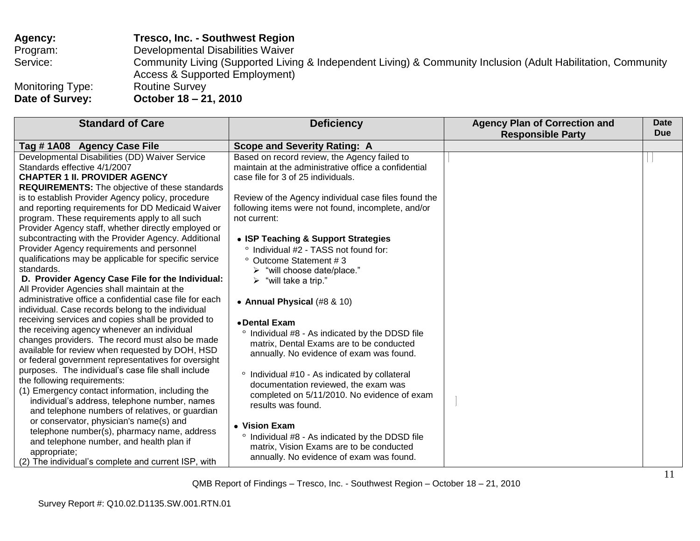| Agency:                 | Tresco, Inc. - Southwest Region                                                                                                                 |
|-------------------------|-------------------------------------------------------------------------------------------------------------------------------------------------|
| Program:                | Developmental Disabilities Waiver                                                                                                               |
| Service:                | Community Living (Supported Living & Independent Living) & Community Inclusion (Adult Habilitation, Community<br>Access & Supported Employment) |
| <b>Monitoring Type:</b> | <b>Routine Survey</b>                                                                                                                           |
| Date of Survey:         | October 18 – 21, 2010                                                                                                                           |

| Tag # 1A08 Agency Case File<br><b>Scope and Severity Rating: A</b><br>Developmental Disabilities (DD) Waiver Service<br>Based on record review, the Agency failed to<br>Standards effective 4/1/2007<br>maintain at the administrative office a confidential<br><b>CHAPTER 1 II. PROVIDER AGENCY</b><br>case file for 3 of 25 individuals.<br><b>REQUIREMENTS:</b> The objective of these standards<br>is to establish Provider Agency policy, procedure<br>Review of the Agency individual case files found the<br>and reporting requirements for DD Medicaid Waiver<br>following items were not found, incomplete, and/or<br>program. These requirements apply to all such<br>not current:<br>Provider Agency staff, whether directly employed or<br>subcontracting with the Provider Agency. Additional<br>• ISP Teaching & Support Strategies<br>Provider Agency requirements and personnel<br>Individual #2 - TASS not found for:<br>qualifications may be applicable for specific service<br>° Outcome Statement #3<br>standards.<br>> "will choose date/place."<br>D. Provider Agency Case File for the Individual:<br>$\triangleright$ "will take a trip."<br>All Provider Agencies shall maintain at the<br>administrative office a confidential case file for each<br>• Annual Physical (#8 & 10)<br>individual. Case records belong to the individual<br>receiving services and copies shall be provided to<br>• Dental Exam<br>the receiving agency whenever an individual<br>$\circ$<br>Individual #8 - As indicated by the DDSD file<br>changes providers. The record must also be made<br>matrix, Dental Exams are to be conducted<br>available for review when requested by DOH, HSD<br>annually. No evidence of exam was found.<br>or federal government representatives for oversight<br>purposes. The individual's case file shall include<br>Individual #10 - As indicated by collateral<br>the following requirements:<br>documentation reviewed, the exam was<br>(1) Emergency contact information, including the<br>completed on 5/11/2010. No evidence of exam<br>individual's address, telephone number, names<br>results was found.<br>and telephone numbers of relatives, or guardian<br>or conservator, physician's name(s) and<br>• Vision Exam<br>telephone number(s), pharmacy name, address<br><sup>o</sup> Individual #8 - As indicated by the DDSD file<br>and telephone number, and health plan if<br>matrix, Vision Exams are to be conducted<br>appropriate; | <b>Standard of Care</b>                             | <b>Deficiency</b>                        | <b>Agency Plan of Correction and</b> | <b>Date</b><br><b>Due</b> |
|---------------------------------------------------------------------------------------------------------------------------------------------------------------------------------------------------------------------------------------------------------------------------------------------------------------------------------------------------------------------------------------------------------------------------------------------------------------------------------------------------------------------------------------------------------------------------------------------------------------------------------------------------------------------------------------------------------------------------------------------------------------------------------------------------------------------------------------------------------------------------------------------------------------------------------------------------------------------------------------------------------------------------------------------------------------------------------------------------------------------------------------------------------------------------------------------------------------------------------------------------------------------------------------------------------------------------------------------------------------------------------------------------------------------------------------------------------------------------------------------------------------------------------------------------------------------------------------------------------------------------------------------------------------------------------------------------------------------------------------------------------------------------------------------------------------------------------------------------------------------------------------------------------------------------------------------------------------------------------------------------------------------------------------------------------------------------------------------------------------------------------------------------------------------------------------------------------------------------------------------------------------------------------------------------------------------------------------------------------------------------------------------------------------------------------------------------------------------------------------------------|-----------------------------------------------------|------------------------------------------|--------------------------------------|---------------------------|
|                                                                                                                                                                                                                                                                                                                                                                                                                                                                                                                                                                                                                                                                                                                                                                                                                                                                                                                                                                                                                                                                                                                                                                                                                                                                                                                                                                                                                                                                                                                                                                                                                                                                                                                                                                                                                                                                                                                                                                                                                                                                                                                                                                                                                                                                                                                                                                                                                                                                                                   |                                                     |                                          |                                      |                           |
|                                                                                                                                                                                                                                                                                                                                                                                                                                                                                                                                                                                                                                                                                                                                                                                                                                                                                                                                                                                                                                                                                                                                                                                                                                                                                                                                                                                                                                                                                                                                                                                                                                                                                                                                                                                                                                                                                                                                                                                                                                                                                                                                                                                                                                                                                                                                                                                                                                                                                                   |                                                     |                                          | <b>Responsible Party</b>             |                           |
|                                                                                                                                                                                                                                                                                                                                                                                                                                                                                                                                                                                                                                                                                                                                                                                                                                                                                                                                                                                                                                                                                                                                                                                                                                                                                                                                                                                                                                                                                                                                                                                                                                                                                                                                                                                                                                                                                                                                                                                                                                                                                                                                                                                                                                                                                                                                                                                                                                                                                                   | (2) The individual's complete and current ISP, with | annually. No evidence of exam was found. |                                      |                           |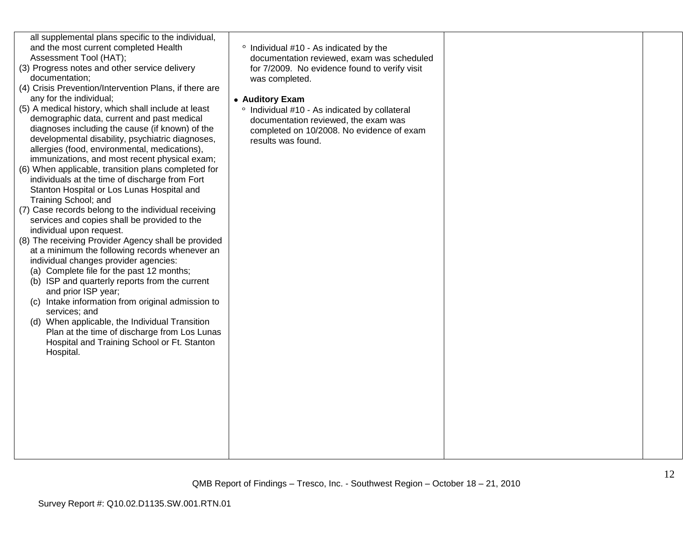| all supplemental plans specific to the individual,<br>and the most current completed Health<br>Assessment Tool (HAT);<br>(3) Progress notes and other service delivery<br>documentation;<br>(4) Crisis Prevention/Intervention Plans, if there are<br>any for the individual;<br>(5) A medical history, which shall include at least<br>demographic data, current and past medical<br>diagnoses including the cause (if known) of the<br>developmental disability, psychiatric diagnoses,<br>allergies (food, environmental, medications),<br>immunizations, and most recent physical exam;<br>(6) When applicable, transition plans completed for<br>individuals at the time of discharge from Fort<br>Stanton Hospital or Los Lunas Hospital and<br>Training School; and<br>(7) Case records belong to the individual receiving<br>services and copies shall be provided to the<br>individual upon request.<br>(8) The receiving Provider Agency shall be provided<br>at a minimum the following records whenever an<br>individual changes provider agencies:<br>(a) Complete file for the past 12 months;<br>(b) ISP and quarterly reports from the current<br>and prior ISP year;<br>Intake information from original admission to<br>(C)<br>services; and<br>(d) When applicable, the Individual Transition<br>Plan at the time of discharge from Los Lunas<br>Hospital and Training School or Ft. Stanton<br>Hospital. | ° Individual #10 - As indicated by the<br>documentation reviewed, exam was scheduled<br>for 7/2009. No evidence found to verify visit<br>was completed.<br>• Auditory Exam<br><sup>o</sup> Individual #10 - As indicated by collateral<br>documentation reviewed, the exam was<br>completed on 10/2008. No evidence of exam<br>results was found. |  |
|------------------------------------------------------------------------------------------------------------------------------------------------------------------------------------------------------------------------------------------------------------------------------------------------------------------------------------------------------------------------------------------------------------------------------------------------------------------------------------------------------------------------------------------------------------------------------------------------------------------------------------------------------------------------------------------------------------------------------------------------------------------------------------------------------------------------------------------------------------------------------------------------------------------------------------------------------------------------------------------------------------------------------------------------------------------------------------------------------------------------------------------------------------------------------------------------------------------------------------------------------------------------------------------------------------------------------------------------------------------------------------------------------------------------------|---------------------------------------------------------------------------------------------------------------------------------------------------------------------------------------------------------------------------------------------------------------------------------------------------------------------------------------------------|--|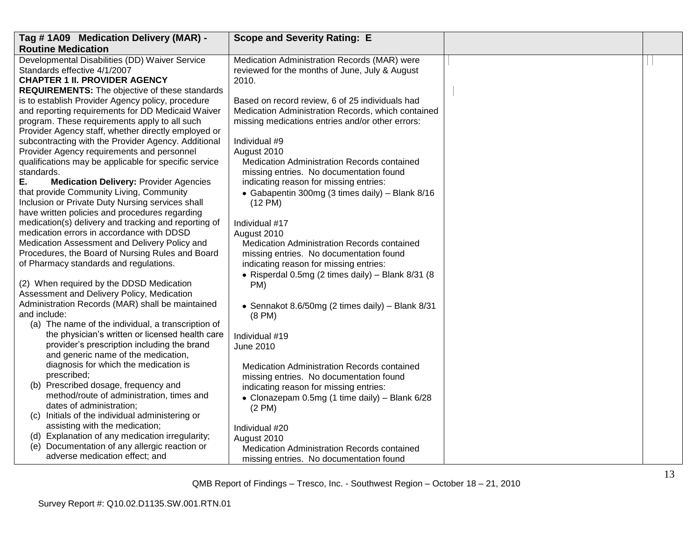| Tag #1A09 Medication Delivery (MAR) -                                                     | <b>Scope and Severity Rating: E</b>                                                       |  |
|-------------------------------------------------------------------------------------------|-------------------------------------------------------------------------------------------|--|
| <b>Routine Medication</b>                                                                 |                                                                                           |  |
| Developmental Disabilities (DD) Waiver Service                                            | Medication Administration Records (MAR) were                                              |  |
| Standards effective 4/1/2007                                                              | reviewed for the months of June, July & August                                            |  |
| <b>CHAPTER 1 II. PROVIDER AGENCY</b>                                                      | 2010.                                                                                     |  |
| <b>REQUIREMENTS:</b> The objective of these standards                                     |                                                                                           |  |
| is to establish Provider Agency policy, procedure                                         | Based on record review, 6 of 25 individuals had                                           |  |
| and reporting requirements for DD Medicaid Waiver                                         | Medication Administration Records, which contained                                        |  |
| program. These requirements apply to all such                                             | missing medications entries and/or other errors:                                          |  |
| Provider Agency staff, whether directly employed or                                       |                                                                                           |  |
| subcontracting with the Provider Agency. Additional                                       | Individual #9                                                                             |  |
| Provider Agency requirements and personnel                                                | August 2010                                                                               |  |
| qualifications may be applicable for specific service                                     | Medication Administration Records contained                                               |  |
| standards.<br>Ε.                                                                          | missing entries. No documentation found                                                   |  |
| <b>Medication Delivery: Provider Agencies</b><br>that provide Community Living, Community | indicating reason for missing entries:<br>• Gabapentin 300mg (3 times daily) - Blank 8/16 |  |
| Inclusion or Private Duty Nursing services shall                                          | $(12 \text{ PM})$                                                                         |  |
| have written policies and procedures regarding                                            |                                                                                           |  |
| medication(s) delivery and tracking and reporting of                                      | Individual #17                                                                            |  |
| medication errors in accordance with DDSD                                                 | August 2010                                                                               |  |
| Medication Assessment and Delivery Policy and                                             | Medication Administration Records contained                                               |  |
| Procedures, the Board of Nursing Rules and Board                                          | missing entries. No documentation found                                                   |  |
| of Pharmacy standards and regulations.                                                    | indicating reason for missing entries:                                                    |  |
|                                                                                           | • Risperdal 0.5mg (2 times daily) - Blank 8/31 (8                                         |  |
| (2) When required by the DDSD Medication                                                  | PM)                                                                                       |  |
| Assessment and Delivery Policy, Medication                                                |                                                                                           |  |
| Administration Records (MAR) shall be maintained                                          | • Sennakot 8.6/50mg (2 times daily) - Blank 8/31                                          |  |
| and include:                                                                              | $(8 \text{ PM})$                                                                          |  |
| (a) The name of the individual, a transcription of                                        |                                                                                           |  |
| the physician's written or licensed health care                                           | Individual #19                                                                            |  |
| provider's prescription including the brand                                               | June 2010                                                                                 |  |
| and generic name of the medication,                                                       |                                                                                           |  |
| diagnosis for which the medication is                                                     | Medication Administration Records contained                                               |  |
| prescribed;                                                                               | missing entries. No documentation found                                                   |  |
| (b) Prescribed dosage, frequency and                                                      | indicating reason for missing entries:                                                    |  |
| method/route of administration, times and                                                 | • Clonazepam 0.5mg (1 time daily) - Blank 6/28                                            |  |
| dates of administration;                                                                  | $(2 \text{ PM})$                                                                          |  |
| (c) Initials of the individual administering or                                           |                                                                                           |  |
| assisting with the medication;                                                            | Individual #20                                                                            |  |
| (d) Explanation of any medication irregularity;                                           | August 2010                                                                               |  |
| Documentation of any allergic reaction or<br>(e)                                          | Medication Administration Records contained                                               |  |
| adverse medication effect; and                                                            | missing entries. No documentation found                                                   |  |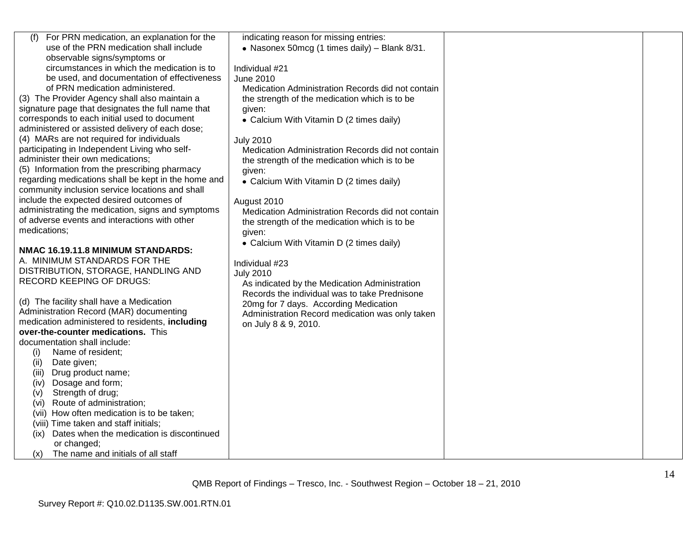| (f) For PRN medication, an explanation for the      | indicating reason for missing entries:            |  |
|-----------------------------------------------------|---------------------------------------------------|--|
| use of the PRN medication shall include             | • Nasonex 50mcg (1 times daily) - Blank 8/31.     |  |
| observable signs/symptoms or                        |                                                   |  |
| circumstances in which the medication is to         | Individual #21                                    |  |
| be used, and documentation of effectiveness         | June 2010                                         |  |
| of PRN medication administered.                     | Medication Administration Records did not contain |  |
| (3) The Provider Agency shall also maintain a       | the strength of the medication which is to be     |  |
| signature page that designates the full name that   |                                                   |  |
| corresponds to each initial used to document        | given:                                            |  |
| administered or assisted delivery of each dose;     | • Calcium With Vitamin D (2 times daily)          |  |
|                                                     |                                                   |  |
| (4) MARs are not required for individuals           | <b>July 2010</b>                                  |  |
| participating in Independent Living who self-       | Medication Administration Records did not contain |  |
| administer their own medications;                   | the strength of the medication which is to be     |  |
| (5) Information from the prescribing pharmacy       | given:                                            |  |
| regarding medications shall be kept in the home and | • Calcium With Vitamin D (2 times daily)          |  |
| community inclusion service locations and shall     |                                                   |  |
| include the expected desired outcomes of            | August 2010                                       |  |
| administrating the medication, signs and symptoms   | Medication Administration Records did not contain |  |
| of adverse events and interactions with other       | the strength of the medication which is to be     |  |
| medications;                                        | given:                                            |  |
|                                                     | • Calcium With Vitamin D (2 times daily)          |  |
| NMAC 16.19.11.8 MINIMUM STANDARDS:                  |                                                   |  |
| A. MINIMUM STANDARDS FOR THE                        | Individual #23                                    |  |
| DISTRIBUTION, STORAGE, HANDLING AND                 | <b>July 2010</b>                                  |  |
| <b>RECORD KEEPING OF DRUGS:</b>                     | As indicated by the Medication Administration     |  |
|                                                     | Records the individual was to take Prednisone     |  |
| (d) The facility shall have a Medication            | 20mg for 7 days. According Medication             |  |
| Administration Record (MAR) documenting             | Administration Record medication was only taken   |  |
| medication administered to residents, including     | on July 8 & 9, 2010.                              |  |
| over-the-counter medications. This                  |                                                   |  |
| documentation shall include:                        |                                                   |  |
| Name of resident;<br>(i)                            |                                                   |  |
| (ii)<br>Date given;                                 |                                                   |  |
| Drug product name;<br>(iii)                         |                                                   |  |
| Dosage and form;<br>(iv)                            |                                                   |  |
| Strength of drug;<br>(v)                            |                                                   |  |
| Route of administration;<br>(vi)                    |                                                   |  |
| (vii) How often medication is to be taken;          |                                                   |  |
| (viii) Time taken and staff initials;               |                                                   |  |
| Dates when the medication is discontinued<br>(ix)   |                                                   |  |
| or changed;                                         |                                                   |  |
| The name and initials of all staff<br>(x)           |                                                   |  |
|                                                     |                                                   |  |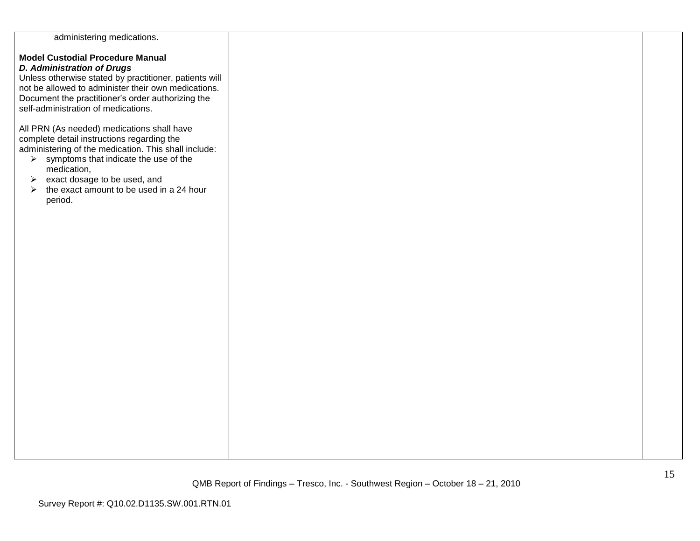| administering medications.                                                                                                                                                                                                                                                                                                                                         |  |  |
|--------------------------------------------------------------------------------------------------------------------------------------------------------------------------------------------------------------------------------------------------------------------------------------------------------------------------------------------------------------------|--|--|
| <b>Model Custodial Procedure Manual</b><br><b>D. Administration of Drugs</b><br>Unless otherwise stated by practitioner, patients will<br>not be allowed to administer their own medications.<br>Document the practitioner's order authorizing the<br>self-administration of medications.                                                                          |  |  |
| All PRN (As needed) medications shall have<br>complete detail instructions regarding the<br>administering of the medication. This shall include:<br>$\triangleright$ symptoms that indicate the use of the<br>medication,<br>exact dosage to be used, and<br>$\blacktriangleright$<br>the exact amount to be used in a 24 hour<br>$\blacktriangleright$<br>period. |  |  |
|                                                                                                                                                                                                                                                                                                                                                                    |  |  |
|                                                                                                                                                                                                                                                                                                                                                                    |  |  |
|                                                                                                                                                                                                                                                                                                                                                                    |  |  |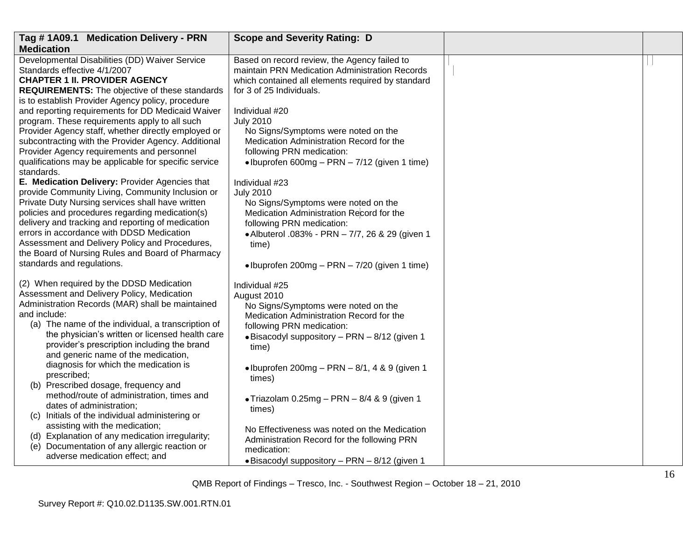| Tag #1A09.1 Medication Delivery - PRN                                                                                                                                           | <b>Scope and Severity Rating: D</b>                                                                                                                                             |  |
|---------------------------------------------------------------------------------------------------------------------------------------------------------------------------------|---------------------------------------------------------------------------------------------------------------------------------------------------------------------------------|--|
| <b>Medication</b>                                                                                                                                                               |                                                                                                                                                                                 |  |
| Developmental Disabilities (DD) Waiver Service<br>Standards effective 4/1/2007<br><b>CHAPTER 1 II. PROVIDER AGENCY</b><br><b>REQUIREMENTS:</b> The objective of these standards | Based on record review, the Agency failed to<br>maintain PRN Medication Administration Records<br>which contained all elements required by standard<br>for 3 of 25 Individuals. |  |
| is to establish Provider Agency policy, procedure                                                                                                                               |                                                                                                                                                                                 |  |
| and reporting requirements for DD Medicaid Waiver                                                                                                                               | Individual #20                                                                                                                                                                  |  |
| program. These requirements apply to all such                                                                                                                                   | <b>July 2010</b>                                                                                                                                                                |  |
| Provider Agency staff, whether directly employed or                                                                                                                             | No Signs/Symptoms were noted on the                                                                                                                                             |  |
| subcontracting with the Provider Agency. Additional                                                                                                                             | Medication Administration Record for the                                                                                                                                        |  |
| Provider Agency requirements and personnel<br>qualifications may be applicable for specific service                                                                             | following PRN medication:<br>• Ibuprofen 600mg – PRN – 7/12 (given 1 time)                                                                                                      |  |
| standards.                                                                                                                                                                      |                                                                                                                                                                                 |  |
| E. Medication Delivery: Provider Agencies that                                                                                                                                  | Individual #23                                                                                                                                                                  |  |
| provide Community Living, Community Inclusion or                                                                                                                                | <b>July 2010</b>                                                                                                                                                                |  |
| Private Duty Nursing services shall have written                                                                                                                                | No Signs/Symptoms were noted on the                                                                                                                                             |  |
| policies and procedures regarding medication(s)<br>delivery and tracking and reporting of medication                                                                            | Medication Administration Record for the<br>following PRN medication:                                                                                                           |  |
| errors in accordance with DDSD Medication                                                                                                                                       | • Albuterol .083% - PRN - 7/7, 26 & 29 (given 1                                                                                                                                 |  |
| Assessment and Delivery Policy and Procedures,                                                                                                                                  | time)                                                                                                                                                                           |  |
| the Board of Nursing Rules and Board of Pharmacy                                                                                                                                |                                                                                                                                                                                 |  |
| standards and regulations.                                                                                                                                                      | • Ibuprofen 200mg - PRN - 7/20 (given 1 time)                                                                                                                                   |  |
| (2) When required by the DDSD Medication                                                                                                                                        | Individual #25                                                                                                                                                                  |  |
| Assessment and Delivery Policy, Medication                                                                                                                                      | August 2010                                                                                                                                                                     |  |
| Administration Records (MAR) shall be maintained                                                                                                                                | No Signs/Symptoms were noted on the                                                                                                                                             |  |
| and include:                                                                                                                                                                    | Medication Administration Record for the                                                                                                                                        |  |
| (a) The name of the individual, a transcription of<br>the physician's written or licensed health care                                                                           | following PRN medication:                                                                                                                                                       |  |
| provider's prescription including the brand                                                                                                                                     | • Bisacodyl suppository - PRN - 8/12 (given 1<br>time)                                                                                                                          |  |
| and generic name of the medication,                                                                                                                                             |                                                                                                                                                                                 |  |
| diagnosis for which the medication is                                                                                                                                           | • Ibuprofen 200mg - PRN - $8/1$ , 4 & 9 (given 1                                                                                                                                |  |
| prescribed;<br>(b) Prescribed dosage, frequency and                                                                                                                             | times)                                                                                                                                                                          |  |
| method/route of administration, times and                                                                                                                                       |                                                                                                                                                                                 |  |
| dates of administration;                                                                                                                                                        | • Triazolam 0.25mg - PRN - 8/4 & 9 (given 1<br>times)                                                                                                                           |  |
| (c) Initials of the individual administering or                                                                                                                                 |                                                                                                                                                                                 |  |
| assisting with the medication;                                                                                                                                                  | No Effectiveness was noted on the Medication                                                                                                                                    |  |
| (d) Explanation of any medication irregularity;<br>(e) Documentation of any allergic reaction or                                                                                | Administration Record for the following PRN                                                                                                                                     |  |
| adverse medication effect; and                                                                                                                                                  | medication:                                                                                                                                                                     |  |
|                                                                                                                                                                                 | • Bisacodyl suppository - PRN - 8/12 (given 1                                                                                                                                   |  |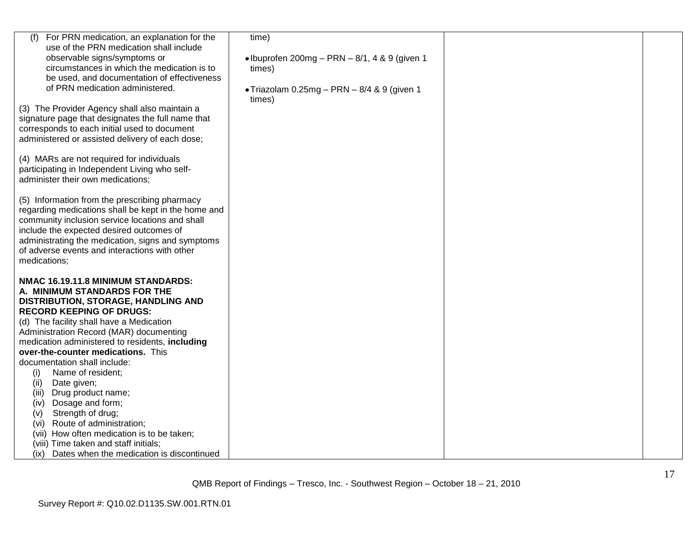| For PRN medication, an explanation for the<br>(f)<br>use of the PRN medication shall include<br>observable signs/symptoms or<br>circumstances in which the medication is to<br>be used, and documentation of effectiveness<br>of PRN medication administered.<br>(3) The Provider Agency shall also maintain a<br>signature page that designates the full name that | time)<br>$\bullet$ Ibuprofen 200mg - PRN - 8/1, 4 & 9 (given 1<br>times)<br>• Triazolam 0.25mg - PRN - 8/4 & 9 (given 1<br>times) |  |
|---------------------------------------------------------------------------------------------------------------------------------------------------------------------------------------------------------------------------------------------------------------------------------------------------------------------------------------------------------------------|-----------------------------------------------------------------------------------------------------------------------------------|--|
| corresponds to each initial used to document<br>administered or assisted delivery of each dose;                                                                                                                                                                                                                                                                     |                                                                                                                                   |  |
| (4) MARs are not required for individuals<br>participating in Independent Living who self-<br>administer their own medications;                                                                                                                                                                                                                                     |                                                                                                                                   |  |
| (5) Information from the prescribing pharmacy<br>regarding medications shall be kept in the home and<br>community inclusion service locations and shall<br>include the expected desired outcomes of<br>administrating the medication, signs and symptoms<br>of adverse events and interactions with other<br>medications;                                           |                                                                                                                                   |  |
| NMAC 16.19.11.8 MINIMUM STANDARDS:<br>A. MINIMUM STANDARDS FOR THE<br>DISTRIBUTION, STORAGE, HANDLING AND                                                                                                                                                                                                                                                           |                                                                                                                                   |  |
| <b>RECORD KEEPING OF DRUGS:</b>                                                                                                                                                                                                                                                                                                                                     |                                                                                                                                   |  |
| (d) The facility shall have a Medication                                                                                                                                                                                                                                                                                                                            |                                                                                                                                   |  |
| Administration Record (MAR) documenting                                                                                                                                                                                                                                                                                                                             |                                                                                                                                   |  |
| medication administered to residents, including<br>over-the-counter medications. This                                                                                                                                                                                                                                                                               |                                                                                                                                   |  |
| documentation shall include:                                                                                                                                                                                                                                                                                                                                        |                                                                                                                                   |  |
| (i)<br>Name of resident;                                                                                                                                                                                                                                                                                                                                            |                                                                                                                                   |  |
| Date given;<br>(ii)                                                                                                                                                                                                                                                                                                                                                 |                                                                                                                                   |  |
| (iii)<br>Drug product name;                                                                                                                                                                                                                                                                                                                                         |                                                                                                                                   |  |
| Dosage and form;<br>(iv)                                                                                                                                                                                                                                                                                                                                            |                                                                                                                                   |  |
| Strength of drug;<br>(v)                                                                                                                                                                                                                                                                                                                                            |                                                                                                                                   |  |
| Route of administration;<br>(vi)                                                                                                                                                                                                                                                                                                                                    |                                                                                                                                   |  |
| (vii) How often medication is to be taken;                                                                                                                                                                                                                                                                                                                          |                                                                                                                                   |  |
| (viii) Time taken and staff initials;                                                                                                                                                                                                                                                                                                                               |                                                                                                                                   |  |
| (ix) Dates when the medication is discontinued                                                                                                                                                                                                                                                                                                                      |                                                                                                                                   |  |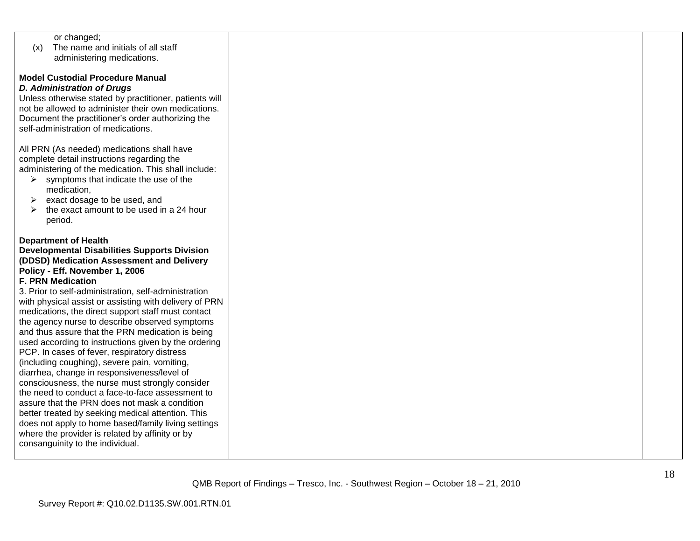|     | or changed;                                            |  |  |
|-----|--------------------------------------------------------|--|--|
| (x) | The name and initials of all staff                     |  |  |
|     | administering medications.                             |  |  |
|     |                                                        |  |  |
|     | <b>Model Custodial Procedure Manual</b>                |  |  |
|     | <b>D. Administration of Drugs</b>                      |  |  |
|     |                                                        |  |  |
|     | Unless otherwise stated by practitioner, patients will |  |  |
|     | not be allowed to administer their own medications.    |  |  |
|     | Document the practitioner's order authorizing the      |  |  |
|     | self-administration of medications.                    |  |  |
|     |                                                        |  |  |
|     | All PRN (As needed) medications shall have             |  |  |
|     | complete detail instructions regarding the             |  |  |
|     | administering of the medication. This shall include:   |  |  |
| ➤   | symptoms that indicate the use of the                  |  |  |
|     | medication,                                            |  |  |
|     |                                                        |  |  |
| ➤   | exact dosage to be used, and                           |  |  |
|     | the exact amount to be used in a 24 hour               |  |  |
|     | period.                                                |  |  |
|     |                                                        |  |  |
|     | <b>Department of Health</b>                            |  |  |
|     | <b>Developmental Disabilities Supports Division</b>    |  |  |
|     | (DDSD) Medication Assessment and Delivery              |  |  |
|     | Policy - Eff. November 1, 2006                         |  |  |
|     | <b>F. PRN Medication</b>                               |  |  |
|     | 3. Prior to self-administration, self-administration   |  |  |
|     | with physical assist or assisting with delivery of PRN |  |  |
|     | medications, the direct support staff must contact     |  |  |
|     |                                                        |  |  |
|     | the agency nurse to describe observed symptoms         |  |  |
|     | and thus assure that the PRN medication is being       |  |  |
|     | used according to instructions given by the ordering   |  |  |
|     | PCP. In cases of fever, respiratory distress           |  |  |
|     | (including coughing), severe pain, vomiting,           |  |  |
|     | diarrhea, change in responsiveness/level of            |  |  |
|     | consciousness, the nurse must strongly consider        |  |  |
|     | the need to conduct a face-to-face assessment to       |  |  |
|     | assure that the PRN does not mask a condition          |  |  |
|     | better treated by seeking medical attention. This      |  |  |
|     | does not apply to home based/family living settings    |  |  |
|     | where the provider is related by affinity or by        |  |  |
|     | consanguinity to the individual.                       |  |  |
|     |                                                        |  |  |
|     |                                                        |  |  |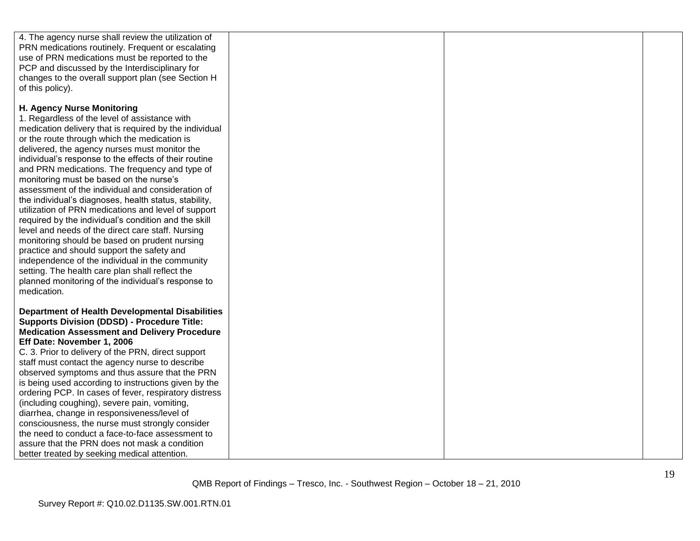| 4. The agency nurse shall review the utilization of<br>PRN medications routinely. Frequent or escalating<br>use of PRN medications must be reported to the<br>PCP and discussed by the Interdisciplinary for<br>changes to the overall support plan (see Section H<br>of this policy).                                                                                                                                                                                                                                                                                                                                                                                                                                                                                                                                                                                                                                                                   |  |  |
|----------------------------------------------------------------------------------------------------------------------------------------------------------------------------------------------------------------------------------------------------------------------------------------------------------------------------------------------------------------------------------------------------------------------------------------------------------------------------------------------------------------------------------------------------------------------------------------------------------------------------------------------------------------------------------------------------------------------------------------------------------------------------------------------------------------------------------------------------------------------------------------------------------------------------------------------------------|--|--|
|                                                                                                                                                                                                                                                                                                                                                                                                                                                                                                                                                                                                                                                                                                                                                                                                                                                                                                                                                          |  |  |
| H. Agency Nurse Monitoring<br>1. Regardless of the level of assistance with<br>medication delivery that is required by the individual<br>or the route through which the medication is<br>delivered, the agency nurses must monitor the<br>individual's response to the effects of their routine<br>and PRN medications. The frequency and type of<br>monitoring must be based on the nurse's<br>assessment of the individual and consideration of<br>the individual's diagnoses, health status, stability,<br>utilization of PRN medications and level of support<br>required by the individual's condition and the skill<br>level and needs of the direct care staff. Nursing<br>monitoring should be based on prudent nursing<br>practice and should support the safety and<br>independence of the individual in the community<br>setting. The health care plan shall reflect the<br>planned monitoring of the individual's response to<br>medication. |  |  |
| <b>Department of Health Developmental Disabilities</b><br><b>Supports Division (DDSD) - Procedure Title:</b><br><b>Medication Assessment and Delivery Procedure</b><br>Eff Date: November 1, 2006<br>C. 3. Prior to delivery of the PRN, direct support<br>staff must contact the agency nurse to describe<br>observed symptoms and thus assure that the PRN<br>is being used according to instructions given by the<br>ordering PCP. In cases of fever, respiratory distress<br>(including coughing), severe pain, vomiting,<br>diarrhea, change in responsiveness/level of<br>consciousness, the nurse must strongly consider<br>the need to conduct a face-to-face assessment to<br>assure that the PRN does not mask a condition<br>better treated by seeking medical attention.                                                                                                                                                                     |  |  |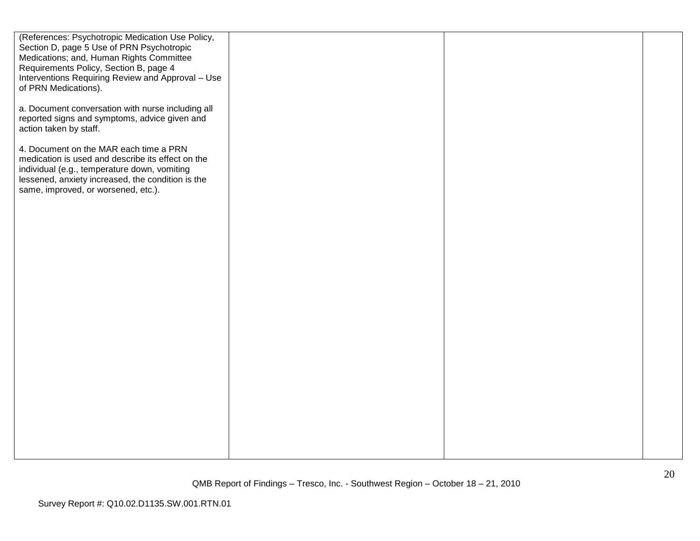| (References: Psychotropic Medication Use Policy,<br>Section D, page 5 Use of PRN Psychotropic<br>Medications; and, Human Rights Committee<br>Requirements Policy, Section B, page 4<br>Interventions Requiring Review and Approval - Use<br>of PRN Medications). |  |  |
|------------------------------------------------------------------------------------------------------------------------------------------------------------------------------------------------------------------------------------------------------------------|--|--|
| a. Document conversation with nurse including all<br>reported signs and symptoms, advice given and<br>action taken by staff.                                                                                                                                     |  |  |
| 4. Document on the MAR each time a PRN<br>medication is used and describe its effect on the<br>individual (e.g., temperature down, vomiting<br>lessened, anxiety increased, the condition is the<br>same, improved, or worsened, etc.).                          |  |  |
|                                                                                                                                                                                                                                                                  |  |  |
|                                                                                                                                                                                                                                                                  |  |  |
|                                                                                                                                                                                                                                                                  |  |  |
|                                                                                                                                                                                                                                                                  |  |  |
|                                                                                                                                                                                                                                                                  |  |  |
|                                                                                                                                                                                                                                                                  |  |  |
|                                                                                                                                                                                                                                                                  |  |  |
|                                                                                                                                                                                                                                                                  |  |  |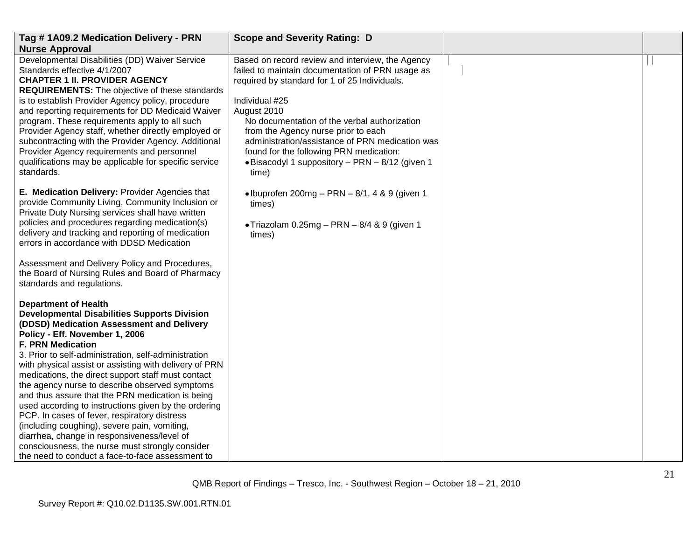| Tag #1A09.2 Medication Delivery - PRN                                                                                                                                                                                                                                                                                                                                                                                                                                                                                                                                                                                                                                                                                                                                                     | <b>Scope and Severity Rating: D</b>                                                                                                                                                                                                                                                                                                                                                                                                     |  |
|-------------------------------------------------------------------------------------------------------------------------------------------------------------------------------------------------------------------------------------------------------------------------------------------------------------------------------------------------------------------------------------------------------------------------------------------------------------------------------------------------------------------------------------------------------------------------------------------------------------------------------------------------------------------------------------------------------------------------------------------------------------------------------------------|-----------------------------------------------------------------------------------------------------------------------------------------------------------------------------------------------------------------------------------------------------------------------------------------------------------------------------------------------------------------------------------------------------------------------------------------|--|
| <b>Nurse Approval</b>                                                                                                                                                                                                                                                                                                                                                                                                                                                                                                                                                                                                                                                                                                                                                                     |                                                                                                                                                                                                                                                                                                                                                                                                                                         |  |
| Developmental Disabilities (DD) Waiver Service<br>Standards effective 4/1/2007<br><b>CHAPTER 1 II. PROVIDER AGENCY</b><br><b>REQUIREMENTS:</b> The objective of these standards<br>is to establish Provider Agency policy, procedure<br>and reporting requirements for DD Medicaid Waiver<br>program. These requirements apply to all such<br>Provider Agency staff, whether directly employed or<br>subcontracting with the Provider Agency. Additional<br>Provider Agency requirements and personnel<br>qualifications may be applicable for specific service<br>standards.                                                                                                                                                                                                             | Based on record review and interview, the Agency<br>failed to maintain documentation of PRN usage as<br>required by standard for 1 of 25 Individuals.<br>Individual #25<br>August 2010<br>No documentation of the verbal authorization<br>from the Agency nurse prior to each<br>administration/assistance of PRN medication was<br>found for the following PRN medication:<br>• Bisacodyl 1 suppository - PRN - 8/12 (given 1<br>time) |  |
| E. Medication Delivery: Provider Agencies that<br>provide Community Living, Community Inclusion or<br>Private Duty Nursing services shall have written<br>policies and procedures regarding medication(s)<br>delivery and tracking and reporting of medication<br>errors in accordance with DDSD Medication                                                                                                                                                                                                                                                                                                                                                                                                                                                                               | $\bullet$ Ibuprofen 200mg - PRN - 8/1, 4 & 9 (given 1<br>times)<br>$\bullet$ Triazolam 0.25mg - PRN - 8/4 & 9 (given 1<br>times)                                                                                                                                                                                                                                                                                                        |  |
| Assessment and Delivery Policy and Procedures,<br>the Board of Nursing Rules and Board of Pharmacy<br>standards and regulations.                                                                                                                                                                                                                                                                                                                                                                                                                                                                                                                                                                                                                                                          |                                                                                                                                                                                                                                                                                                                                                                                                                                         |  |
| <b>Department of Health</b><br><b>Developmental Disabilities Supports Division</b><br>(DDSD) Medication Assessment and Delivery<br>Policy - Eff. November 1, 2006<br><b>F. PRN Medication</b><br>3. Prior to self-administration, self-administration<br>with physical assist or assisting with delivery of PRN<br>medications, the direct support staff must contact<br>the agency nurse to describe observed symptoms<br>and thus assure that the PRN medication is being<br>used according to instructions given by the ordering<br>PCP. In cases of fever, respiratory distress<br>(including coughing), severe pain, vomiting,<br>diarrhea, change in responsiveness/level of<br>consciousness, the nurse must strongly consider<br>the need to conduct a face-to-face assessment to |                                                                                                                                                                                                                                                                                                                                                                                                                                         |  |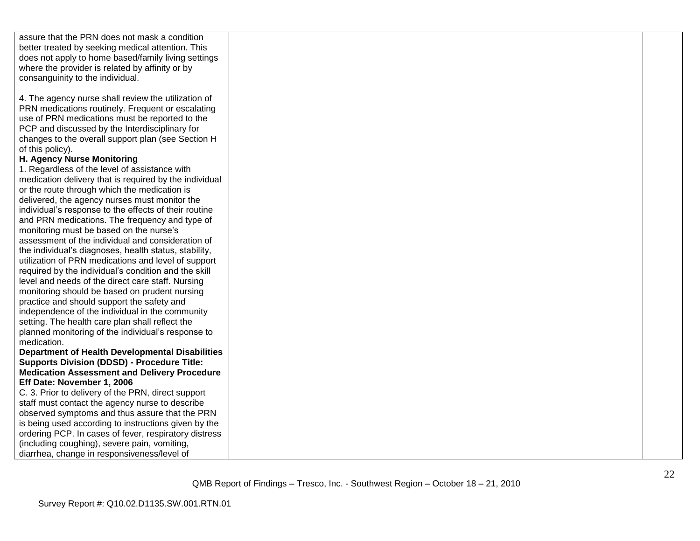| assure that the PRN does not mask a condition          |  |  |
|--------------------------------------------------------|--|--|
| better treated by seeking medical attention. This      |  |  |
| does not apply to home based/family living settings    |  |  |
| where the provider is related by affinity or by        |  |  |
| consanguinity to the individual.                       |  |  |
|                                                        |  |  |
| 4. The agency nurse shall review the utilization of    |  |  |
| PRN medications routinely. Frequent or escalating      |  |  |
| use of PRN medications must be reported to the         |  |  |
| PCP and discussed by the Interdisciplinary for         |  |  |
| changes to the overall support plan (see Section H     |  |  |
| of this policy).                                       |  |  |
| <b>H. Agency Nurse Monitoring</b>                      |  |  |
| 1. Regardless of the level of assistance with          |  |  |
| medication delivery that is required by the individual |  |  |
| or the route through which the medication is           |  |  |
| delivered, the agency nurses must monitor the          |  |  |
| individual's response to the effects of their routine  |  |  |
| and PRN medications. The frequency and type of         |  |  |
| monitoring must be based on the nurse's                |  |  |
| assessment of the individual and consideration of      |  |  |
| the individual's diagnoses, health status, stability,  |  |  |
| utilization of PRN medications and level of support    |  |  |
| required by the individual's condition and the skill   |  |  |
| level and needs of the direct care staff. Nursing      |  |  |
| monitoring should be based on prudent nursing          |  |  |
| practice and should support the safety and             |  |  |
| independence of the individual in the community        |  |  |
| setting. The health care plan shall reflect the        |  |  |
| planned monitoring of the individual's response to     |  |  |
| medication.                                            |  |  |
| <b>Department of Health Developmental Disabilities</b> |  |  |
| <b>Supports Division (DDSD) - Procedure Title:</b>     |  |  |
| <b>Medication Assessment and Delivery Procedure</b>    |  |  |
| Eff Date: November 1, 2006                             |  |  |
| C. 3. Prior to delivery of the PRN, direct support     |  |  |
| staff must contact the agency nurse to describe        |  |  |
| observed symptoms and thus assure that the PRN         |  |  |
| is being used according to instructions given by the   |  |  |
| ordering PCP. In cases of fever, respiratory distress  |  |  |
| (including coughing), severe pain, vomiting,           |  |  |
| diarrhea, change in responsiveness/level of            |  |  |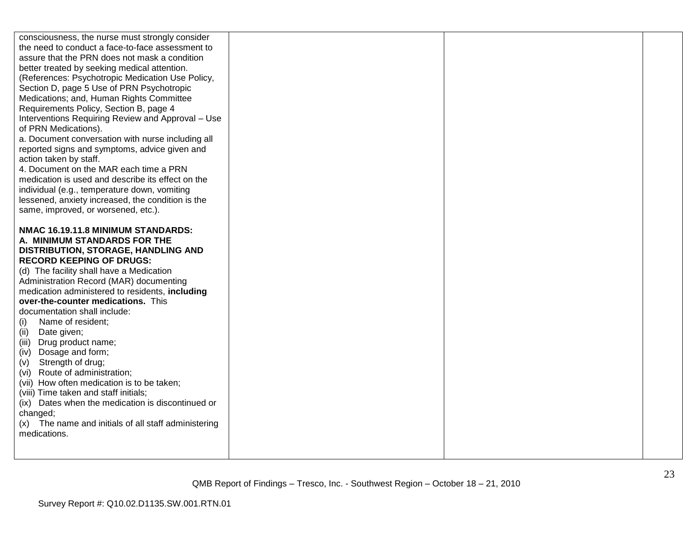| consciousness, the nurse must strongly consider<br>the need to conduct a face-to-face assessment to<br>assure that the PRN does not mask a condition<br>better treated by seeking medical attention.<br>(References: Psychotropic Medication Use Policy,<br>Section D, page 5 Use of PRN Psychotropic<br>Medications; and, Human Rights Committee<br>Requirements Policy, Section B, page 4<br>Interventions Requiring Review and Approval - Use<br>of PRN Medications).<br>a. Document conversation with nurse including all<br>reported signs and symptoms, advice given and<br>action taken by staff.<br>4. Document on the MAR each time a PRN<br>medication is used and describe its effect on the<br>individual (e.g., temperature down, vomiting |  |  |
|---------------------------------------------------------------------------------------------------------------------------------------------------------------------------------------------------------------------------------------------------------------------------------------------------------------------------------------------------------------------------------------------------------------------------------------------------------------------------------------------------------------------------------------------------------------------------------------------------------------------------------------------------------------------------------------------------------------------------------------------------------|--|--|
| Administration Record (MAR) documenting<br>medication administered to residents, including<br>over-the-counter medications. This<br>documentation shall include:<br>Name of resident;<br>(i)<br>(ii) Date given;<br>(iii) Drug product name;<br>(iv) Dosage and form;<br>Strength of drug;<br>(v)<br>(vi) Route of administration;<br>(vii) How often medication is to be taken;<br>(viii) Time taken and staff initials;<br>(ix) Dates when the medication is discontinued or                                                                                                                                                                                                                                                                          |  |  |
| changed;<br>(x) The name and initials of all staff administering<br>medications.                                                                                                                                                                                                                                                                                                                                                                                                                                                                                                                                                                                                                                                                        |  |  |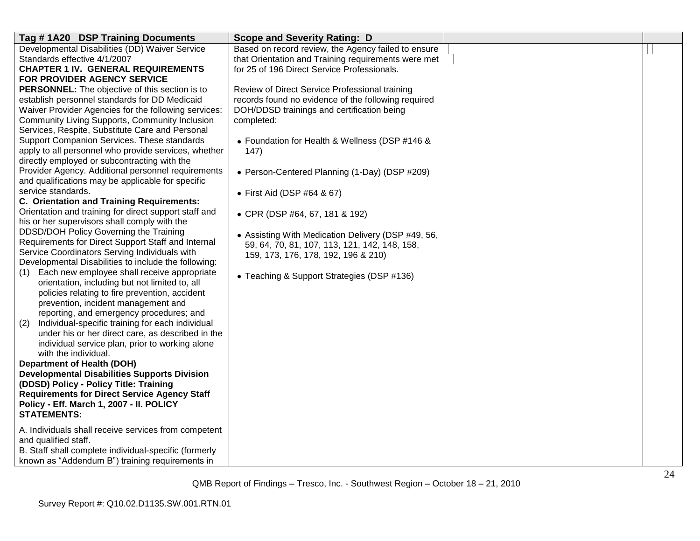| Tag #1A20 DSP Training Documents                                                                                                                                                                                                                                                                                                                                                                                                                                                                                                                                                                                                                                                                                                                                                                                                                                                                                                                                                             | <b>Scope and Severity Rating: D</b>                                                                                                |  |
|----------------------------------------------------------------------------------------------------------------------------------------------------------------------------------------------------------------------------------------------------------------------------------------------------------------------------------------------------------------------------------------------------------------------------------------------------------------------------------------------------------------------------------------------------------------------------------------------------------------------------------------------------------------------------------------------------------------------------------------------------------------------------------------------------------------------------------------------------------------------------------------------------------------------------------------------------------------------------------------------|------------------------------------------------------------------------------------------------------------------------------------|--|
| Developmental Disabilities (DD) Waiver Service                                                                                                                                                                                                                                                                                                                                                                                                                                                                                                                                                                                                                                                                                                                                                                                                                                                                                                                                               | Based on record review, the Agency failed to ensure                                                                                |  |
| Standards effective 4/1/2007                                                                                                                                                                                                                                                                                                                                                                                                                                                                                                                                                                                                                                                                                                                                                                                                                                                                                                                                                                 | that Orientation and Training requirements were met                                                                                |  |
| <b>CHAPTER 1 IV. GENERAL REQUIREMENTS</b>                                                                                                                                                                                                                                                                                                                                                                                                                                                                                                                                                                                                                                                                                                                                                                                                                                                                                                                                                    | for 25 of 196 Direct Service Professionals.                                                                                        |  |
| FOR PROVIDER AGENCY SERVICE                                                                                                                                                                                                                                                                                                                                                                                                                                                                                                                                                                                                                                                                                                                                                                                                                                                                                                                                                                  |                                                                                                                                    |  |
| <b>PERSONNEL:</b> The objective of this section is to                                                                                                                                                                                                                                                                                                                                                                                                                                                                                                                                                                                                                                                                                                                                                                                                                                                                                                                                        | Review of Direct Service Professional training                                                                                     |  |
| establish personnel standards for DD Medicaid                                                                                                                                                                                                                                                                                                                                                                                                                                                                                                                                                                                                                                                                                                                                                                                                                                                                                                                                                | records found no evidence of the following required                                                                                |  |
| Waiver Provider Agencies for the following services:                                                                                                                                                                                                                                                                                                                                                                                                                                                                                                                                                                                                                                                                                                                                                                                                                                                                                                                                         | DOH/DDSD trainings and certification being                                                                                         |  |
| <b>Community Living Supports, Community Inclusion</b>                                                                                                                                                                                                                                                                                                                                                                                                                                                                                                                                                                                                                                                                                                                                                                                                                                                                                                                                        | completed:                                                                                                                         |  |
| Services, Respite, Substitute Care and Personal                                                                                                                                                                                                                                                                                                                                                                                                                                                                                                                                                                                                                                                                                                                                                                                                                                                                                                                                              |                                                                                                                                    |  |
| Support Companion Services. These standards                                                                                                                                                                                                                                                                                                                                                                                                                                                                                                                                                                                                                                                                                                                                                                                                                                                                                                                                                  | • Foundation for Health & Wellness (DSP #146 &                                                                                     |  |
| apply to all personnel who provide services, whether                                                                                                                                                                                                                                                                                                                                                                                                                                                                                                                                                                                                                                                                                                                                                                                                                                                                                                                                         | 147)                                                                                                                               |  |
| directly employed or subcontracting with the                                                                                                                                                                                                                                                                                                                                                                                                                                                                                                                                                                                                                                                                                                                                                                                                                                                                                                                                                 |                                                                                                                                    |  |
| Provider Agency. Additional personnel requirements                                                                                                                                                                                                                                                                                                                                                                                                                                                                                                                                                                                                                                                                                                                                                                                                                                                                                                                                           | • Person-Centered Planning (1-Day) (DSP #209)                                                                                      |  |
| and qualifications may be applicable for specific                                                                                                                                                                                                                                                                                                                                                                                                                                                                                                                                                                                                                                                                                                                                                                                                                                                                                                                                            |                                                                                                                                    |  |
| service standards.                                                                                                                                                                                                                                                                                                                                                                                                                                                                                                                                                                                                                                                                                                                                                                                                                                                                                                                                                                           | • First Aid (DSP #64 & 67)                                                                                                         |  |
| C. Orientation and Training Requirements:                                                                                                                                                                                                                                                                                                                                                                                                                                                                                                                                                                                                                                                                                                                                                                                                                                                                                                                                                    |                                                                                                                                    |  |
| Orientation and training for direct support staff and                                                                                                                                                                                                                                                                                                                                                                                                                                                                                                                                                                                                                                                                                                                                                                                                                                                                                                                                        | • CPR (DSP #64, 67, 181 & 192)                                                                                                     |  |
| his or her supervisors shall comply with the<br>DDSD/DOH Policy Governing the Training                                                                                                                                                                                                                                                                                                                                                                                                                                                                                                                                                                                                                                                                                                                                                                                                                                                                                                       |                                                                                                                                    |  |
|                                                                                                                                                                                                                                                                                                                                                                                                                                                                                                                                                                                                                                                                                                                                                                                                                                                                                                                                                                                              | • Assisting With Medication Delivery (DSP #49, 56,                                                                                 |  |
|                                                                                                                                                                                                                                                                                                                                                                                                                                                                                                                                                                                                                                                                                                                                                                                                                                                                                                                                                                                              |                                                                                                                                    |  |
|                                                                                                                                                                                                                                                                                                                                                                                                                                                                                                                                                                                                                                                                                                                                                                                                                                                                                                                                                                                              |                                                                                                                                    |  |
|                                                                                                                                                                                                                                                                                                                                                                                                                                                                                                                                                                                                                                                                                                                                                                                                                                                                                                                                                                                              |                                                                                                                                    |  |
|                                                                                                                                                                                                                                                                                                                                                                                                                                                                                                                                                                                                                                                                                                                                                                                                                                                                                                                                                                                              |                                                                                                                                    |  |
|                                                                                                                                                                                                                                                                                                                                                                                                                                                                                                                                                                                                                                                                                                                                                                                                                                                                                                                                                                                              |                                                                                                                                    |  |
|                                                                                                                                                                                                                                                                                                                                                                                                                                                                                                                                                                                                                                                                                                                                                                                                                                                                                                                                                                                              |                                                                                                                                    |  |
|                                                                                                                                                                                                                                                                                                                                                                                                                                                                                                                                                                                                                                                                                                                                                                                                                                                                                                                                                                                              |                                                                                                                                    |  |
|                                                                                                                                                                                                                                                                                                                                                                                                                                                                                                                                                                                                                                                                                                                                                                                                                                                                                                                                                                                              |                                                                                                                                    |  |
|                                                                                                                                                                                                                                                                                                                                                                                                                                                                                                                                                                                                                                                                                                                                                                                                                                                                                                                                                                                              |                                                                                                                                    |  |
|                                                                                                                                                                                                                                                                                                                                                                                                                                                                                                                                                                                                                                                                                                                                                                                                                                                                                                                                                                                              |                                                                                                                                    |  |
|                                                                                                                                                                                                                                                                                                                                                                                                                                                                                                                                                                                                                                                                                                                                                                                                                                                                                                                                                                                              |                                                                                                                                    |  |
|                                                                                                                                                                                                                                                                                                                                                                                                                                                                                                                                                                                                                                                                                                                                                                                                                                                                                                                                                                                              |                                                                                                                                    |  |
|                                                                                                                                                                                                                                                                                                                                                                                                                                                                                                                                                                                                                                                                                                                                                                                                                                                                                                                                                                                              |                                                                                                                                    |  |
|                                                                                                                                                                                                                                                                                                                                                                                                                                                                                                                                                                                                                                                                                                                                                                                                                                                                                                                                                                                              |                                                                                                                                    |  |
|                                                                                                                                                                                                                                                                                                                                                                                                                                                                                                                                                                                                                                                                                                                                                                                                                                                                                                                                                                                              |                                                                                                                                    |  |
| Policy - Eff. March 1, 2007 - II. POLICY                                                                                                                                                                                                                                                                                                                                                                                                                                                                                                                                                                                                                                                                                                                                                                                                                                                                                                                                                     |                                                                                                                                    |  |
| <b>STATEMENTS:</b>                                                                                                                                                                                                                                                                                                                                                                                                                                                                                                                                                                                                                                                                                                                                                                                                                                                                                                                                                                           |                                                                                                                                    |  |
|                                                                                                                                                                                                                                                                                                                                                                                                                                                                                                                                                                                                                                                                                                                                                                                                                                                                                                                                                                                              |                                                                                                                                    |  |
|                                                                                                                                                                                                                                                                                                                                                                                                                                                                                                                                                                                                                                                                                                                                                                                                                                                                                                                                                                                              |                                                                                                                                    |  |
|                                                                                                                                                                                                                                                                                                                                                                                                                                                                                                                                                                                                                                                                                                                                                                                                                                                                                                                                                                                              |                                                                                                                                    |  |
|                                                                                                                                                                                                                                                                                                                                                                                                                                                                                                                                                                                                                                                                                                                                                                                                                                                                                                                                                                                              |                                                                                                                                    |  |
| Requirements for Direct Support Staff and Internal<br>Service Coordinators Serving Individuals with<br>Developmental Disabilities to include the following:<br>Each new employee shall receive appropriate<br>(1)<br>orientation, including but not limited to, all<br>policies relating to fire prevention, accident<br>prevention, incident management and<br>reporting, and emergency procedures; and<br>Individual-specific training for each individual<br>(2)<br>under his or her direct care, as described in the<br>individual service plan, prior to working alone<br>with the individual.<br><b>Department of Health (DOH)</b><br><b>Developmental Disabilities Supports Division</b><br>(DDSD) Policy - Policy Title: Training<br><b>Requirements for Direct Service Agency Staff</b><br>A. Individuals shall receive services from competent<br>and qualified staff.<br>B. Staff shall complete individual-specific (formerly<br>known as "Addendum B") training requirements in | 59, 64, 70, 81, 107, 113, 121, 142, 148, 158,<br>159, 173, 176, 178, 192, 196 & 210)<br>• Teaching & Support Strategies (DSP #136) |  |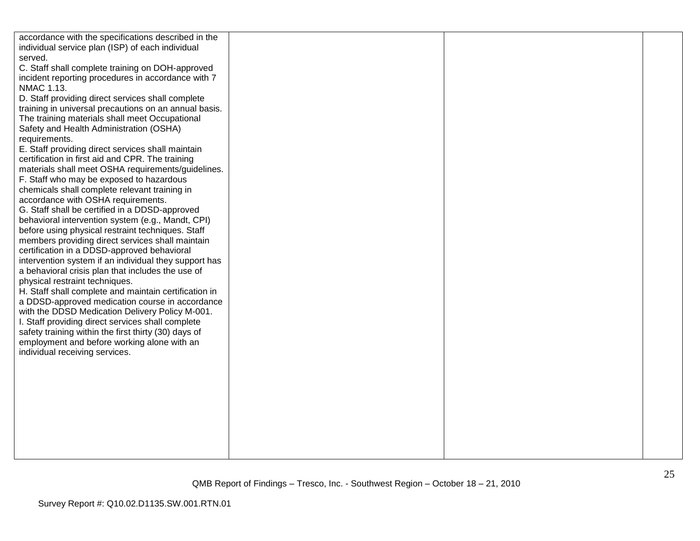| accordance with the specifications described in the                                            |  |  |
|------------------------------------------------------------------------------------------------|--|--|
| individual service plan (ISP) of each individual                                               |  |  |
| served.                                                                                        |  |  |
| C. Staff shall complete training on DOH-approved                                               |  |  |
| incident reporting procedures in accordance with 7                                             |  |  |
| NMAC 1.13.                                                                                     |  |  |
| D. Staff providing direct services shall complete                                              |  |  |
| training in universal precautions on an annual basis.                                          |  |  |
| The training materials shall meet Occupational                                                 |  |  |
| Safety and Health Administration (OSHA)                                                        |  |  |
| requirements.                                                                                  |  |  |
| E. Staff providing direct services shall maintain                                              |  |  |
| certification in first aid and CPR. The training                                               |  |  |
| materials shall meet OSHA requirements/guidelines.<br>F. Staff who may be exposed to hazardous |  |  |
| chemicals shall complete relevant training in                                                  |  |  |
| accordance with OSHA requirements.                                                             |  |  |
| G. Staff shall be certified in a DDSD-approved                                                 |  |  |
| behavioral intervention system (e.g., Mandt, CPI)                                              |  |  |
| before using physical restraint techniques. Staff                                              |  |  |
| members providing direct services shall maintain                                               |  |  |
| certification in a DDSD-approved behavioral                                                    |  |  |
| intervention system if an individual they support has                                          |  |  |
| a behavioral crisis plan that includes the use of                                              |  |  |
| physical restraint techniques.                                                                 |  |  |
| H. Staff shall complete and maintain certification in                                          |  |  |
| a DDSD-approved medication course in accordance                                                |  |  |
| with the DDSD Medication Delivery Policy M-001.                                                |  |  |
| I. Staff providing direct services shall complete                                              |  |  |
| safety training within the first thirty (30) days of                                           |  |  |
| employment and before working alone with an                                                    |  |  |
| individual receiving services.                                                                 |  |  |
|                                                                                                |  |  |
|                                                                                                |  |  |
|                                                                                                |  |  |
|                                                                                                |  |  |
|                                                                                                |  |  |
|                                                                                                |  |  |
|                                                                                                |  |  |
|                                                                                                |  |  |
|                                                                                                |  |  |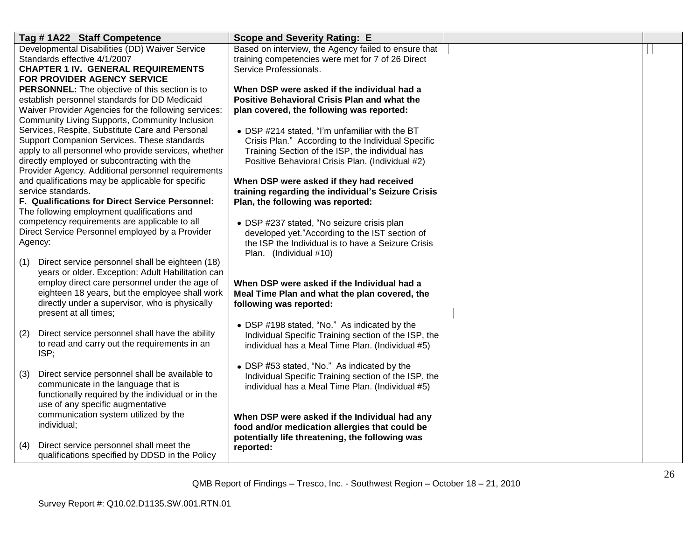| Tag #1A22 Staff Competence                                                                           | <b>Scope and Severity Rating: E</b>                                                                  |  |
|------------------------------------------------------------------------------------------------------|------------------------------------------------------------------------------------------------------|--|
| Developmental Disabilities (DD) Waiver Service                                                       | Based on interview, the Agency failed to ensure that                                                 |  |
| Standards effective 4/1/2007<br><b>CHAPTER 1 IV. GENERAL REQUIREMENTS</b>                            | training competencies were met for 7 of 26 Direct<br>Service Professionals.                          |  |
| FOR PROVIDER AGENCY SERVICE                                                                          |                                                                                                      |  |
| <b>PERSONNEL:</b> The objective of this section is to                                                | When DSP were asked if the individual had a                                                          |  |
| establish personnel standards for DD Medicaid                                                        | <b>Positive Behavioral Crisis Plan and what the</b>                                                  |  |
| Waiver Provider Agencies for the following services:                                                 | plan covered, the following was reported:                                                            |  |
| Community Living Supports, Community Inclusion                                                       |                                                                                                      |  |
| Services, Respite, Substitute Care and Personal                                                      | • DSP #214 stated, "I'm unfamiliar with the BT                                                       |  |
| Support Companion Services. These standards                                                          | Crisis Plan." According to the Individual Specific                                                   |  |
| apply to all personnel who provide services, whether<br>directly employed or subcontracting with the | Training Section of the ISP, the individual has<br>Positive Behavioral Crisis Plan. (Individual #2)  |  |
| Provider Agency. Additional personnel requirements                                                   |                                                                                                      |  |
| and qualifications may be applicable for specific                                                    | When DSP were asked if they had received                                                             |  |
| service standards.                                                                                   | training regarding the individual's Seizure Crisis                                                   |  |
| F. Qualifications for Direct Service Personnel:                                                      | Plan, the following was reported:                                                                    |  |
| The following employment qualifications and                                                          |                                                                                                      |  |
| competency requirements are applicable to all<br>Direct Service Personnel employed by a Provider     | • DSP #237 stated, "No seizure crisis plan                                                           |  |
| Agency:                                                                                              | developed yet."According to the IST section of<br>the ISP the Individual is to have a Seizure Crisis |  |
|                                                                                                      | Plan. (Individual #10)                                                                               |  |
| Direct service personnel shall be eighteen (18)<br>(1)                                               |                                                                                                      |  |
| years or older. Exception: Adult Habilitation can                                                    |                                                                                                      |  |
| employ direct care personnel under the age of                                                        | When DSP were asked if the Individual had a                                                          |  |
| eighteen 18 years, but the employee shall work                                                       | Meal Time Plan and what the plan covered, the                                                        |  |
| directly under a supervisor, who is physically<br>present at all times;                              | following was reported:                                                                              |  |
|                                                                                                      | • DSP #198 stated, "No." As indicated by the                                                         |  |
| Direct service personnel shall have the ability<br>(2)                                               | Individual Specific Training section of the ISP, the                                                 |  |
| to read and carry out the requirements in an                                                         | individual has a Meal Time Plan. (Individual #5)                                                     |  |
| ISP;                                                                                                 |                                                                                                      |  |
|                                                                                                      | • DSP #53 stated, "No." As indicated by the                                                          |  |
| Direct service personnel shall be available to<br>(3)<br>communicate in the language that is         | Individual Specific Training section of the ISP, the                                                 |  |
| functionally required by the individual or in the                                                    | individual has a Meal Time Plan. (Individual #5)                                                     |  |
| use of any specific augmentative                                                                     |                                                                                                      |  |
| communication system utilized by the                                                                 | When DSP were asked if the Individual had any                                                        |  |
| individual;                                                                                          | food and/or medication allergies that could be                                                       |  |
|                                                                                                      | potentially life threatening, the following was                                                      |  |
| Direct service personnel shall meet the<br>(4)<br>qualifications specified by DDSD in the Policy     | reported:                                                                                            |  |
|                                                                                                      |                                                                                                      |  |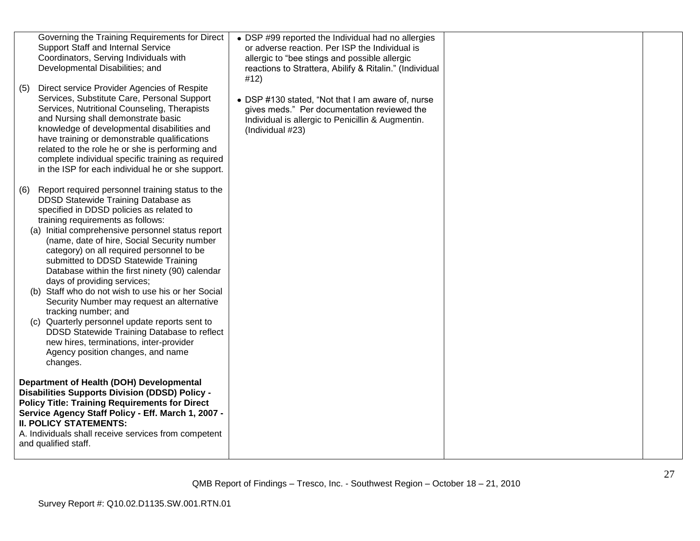| Governing the Training Requirements for Direct<br>Support Staff and Internal Service<br>Coordinators, Serving Individuals with<br>Developmental Disabilities; and<br>Direct service Provider Agencies of Respite<br>(5)<br>Services, Substitute Care, Personal Support<br>Services, Nutritional Counseling, Therapists<br>and Nursing shall demonstrate basic<br>knowledge of developmental disabilities and<br>have training or demonstrable qualifications<br>related to the role he or she is performing and                                                                                                                                                                                                                                                                    | #12)<br>(Individual #23) | • DSP #99 reported the Individual had no allergies<br>or adverse reaction. Per ISP the Individual is<br>allergic to "bee stings and possible allergic<br>reactions to Strattera, Abilify & Ritalin." (Individual<br>• DSP #130 stated, "Not that I am aware of, nurse<br>gives meds." Per documentation reviewed the<br>Individual is allergic to Penicillin & Augmentin. |  |
|------------------------------------------------------------------------------------------------------------------------------------------------------------------------------------------------------------------------------------------------------------------------------------------------------------------------------------------------------------------------------------------------------------------------------------------------------------------------------------------------------------------------------------------------------------------------------------------------------------------------------------------------------------------------------------------------------------------------------------------------------------------------------------|--------------------------|---------------------------------------------------------------------------------------------------------------------------------------------------------------------------------------------------------------------------------------------------------------------------------------------------------------------------------------------------------------------------|--|
| complete individual specific training as required<br>in the ISP for each individual he or she support.                                                                                                                                                                                                                                                                                                                                                                                                                                                                                                                                                                                                                                                                             |                          |                                                                                                                                                                                                                                                                                                                                                                           |  |
| Report required personnel training status to the<br>(6)<br>DDSD Statewide Training Database as<br>specified in DDSD policies as related to<br>training requirements as follows:<br>(a) Initial comprehensive personnel status report<br>(name, date of hire, Social Security number<br>category) on all required personnel to be<br>submitted to DDSD Statewide Training<br>Database within the first ninety (90) calendar<br>days of providing services;<br>(b) Staff who do not wish to use his or her Social<br>Security Number may request an alternative<br>tracking number; and<br>(c) Quarterly personnel update reports sent to<br>DDSD Statewide Training Database to reflect<br>new hires, terminations, inter-provider<br>Agency position changes, and name<br>changes. |                          |                                                                                                                                                                                                                                                                                                                                                                           |  |
| Department of Health (DOH) Developmental<br><b>Disabilities Supports Division (DDSD) Policy -</b><br><b>Policy Title: Training Requirements for Direct</b><br>Service Agency Staff Policy - Eff. March 1, 2007 -<br><b>II. POLICY STATEMENTS:</b><br>A. Individuals shall receive services from competent<br>and qualified staff.                                                                                                                                                                                                                                                                                                                                                                                                                                                  |                          |                                                                                                                                                                                                                                                                                                                                                                           |  |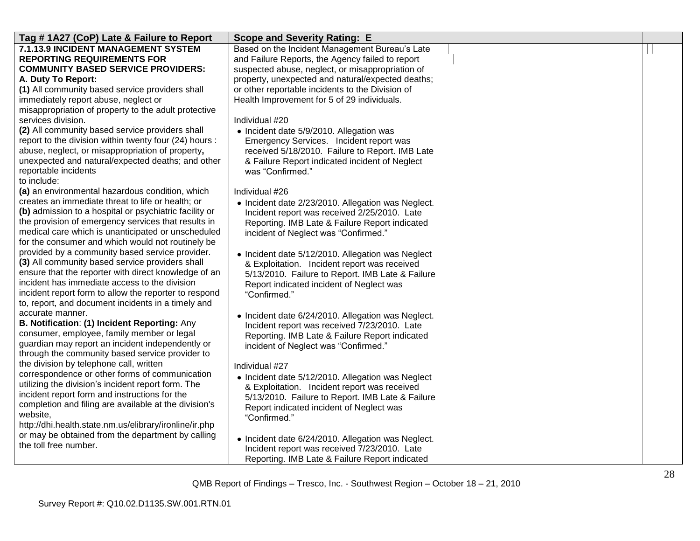| Tag #1A27 (CoP) Late & Failure to Report                                                                                                                                                                                                                                                                                         | <b>Scope and Severity Rating: E</b>                                                                                                                                                                               |  |
|----------------------------------------------------------------------------------------------------------------------------------------------------------------------------------------------------------------------------------------------------------------------------------------------------------------------------------|-------------------------------------------------------------------------------------------------------------------------------------------------------------------------------------------------------------------|--|
| 7.1.13.9 INCIDENT MANAGEMENT SYSTEM<br><b>REPORTING REQUIREMENTS FOR</b><br><b>COMMUNITY BASED SERVICE PROVIDERS:</b>                                                                                                                                                                                                            | Based on the Incident Management Bureau's Late<br>and Failure Reports, the Agency failed to report<br>suspected abuse, neglect, or misappropriation of                                                            |  |
| A. Duty To Report:<br>(1) All community based service providers shall                                                                                                                                                                                                                                                            | property, unexpected and natural/expected deaths;<br>or other reportable incidents to the Division of                                                                                                             |  |
| immediately report abuse, neglect or                                                                                                                                                                                                                                                                                             | Health Improvement for 5 of 29 individuals.                                                                                                                                                                       |  |
| misappropriation of property to the adult protective<br>services division.                                                                                                                                                                                                                                                       | Individual #20                                                                                                                                                                                                    |  |
| (2) All community based service providers shall                                                                                                                                                                                                                                                                                  | • Incident date 5/9/2010. Allegation was                                                                                                                                                                          |  |
| report to the division within twenty four (24) hours :<br>abuse, neglect, or misappropriation of property,<br>unexpected and natural/expected deaths; and other<br>reportable incidents                                                                                                                                          | Emergency Services. Incident report was<br>received 5/18/2010. Failure to Report. IMB Late<br>& Failure Report indicated incident of Neglect<br>was "Confirmed."                                                  |  |
| to include:                                                                                                                                                                                                                                                                                                                      |                                                                                                                                                                                                                   |  |
| (a) an environmental hazardous condition, which<br>creates an immediate threat to life or health; or<br>(b) admission to a hospital or psychiatric facility or<br>the provision of emergency services that results in<br>medical care which is unanticipated or unscheduled<br>for the consumer and which would not routinely be | Individual #26<br>• Incident date 2/23/2010. Allegation was Neglect.<br>Incident report was received 2/25/2010. Late<br>Reporting. IMB Late & Failure Report indicated<br>incident of Neglect was "Confirmed."    |  |
| provided by a community based service provider.<br>(3) All community based service providers shall<br>ensure that the reporter with direct knowledge of an<br>incident has immediate access to the division<br>incident report form to allow the reporter to respond<br>to, report, and document incidents in a timely and       | • Incident date 5/12/2010. Allegation was Neglect<br>& Exploitation. Incident report was received<br>5/13/2010. Failure to Report. IMB Late & Failure<br>Report indicated incident of Neglect was<br>"Confirmed." |  |
| accurate manner.<br>B. Notification: (1) Incident Reporting: Any<br>consumer, employee, family member or legal<br>guardian may report an incident independently or<br>through the community based service provider to                                                                                                            | • Incident date 6/24/2010. Allegation was Neglect.<br>Incident report was received 7/23/2010. Late<br>Reporting. IMB Late & Failure Report indicated<br>incident of Neglect was "Confirmed."                      |  |
| the division by telephone call, written                                                                                                                                                                                                                                                                                          | Individual #27                                                                                                                                                                                                    |  |
| correspondence or other forms of communication<br>utilizing the division's incident report form. The<br>incident report form and instructions for the<br>completion and filing are available at the division's<br>website,<br>http://dhi.health.state.nm.us/elibrary/ironline/ir.php                                             | • Incident date 5/12/2010. Allegation was Neglect<br>& Exploitation. Incident report was received<br>5/13/2010. Failure to Report. IMB Late & Failure<br>Report indicated incident of Neglect was<br>"Confirmed." |  |
| or may be obtained from the department by calling<br>the toll free number.                                                                                                                                                                                                                                                       | • Incident date 6/24/2010. Allegation was Neglect.<br>Incident report was received 7/23/2010. Late<br>Reporting. IMB Late & Failure Report indicated                                                              |  |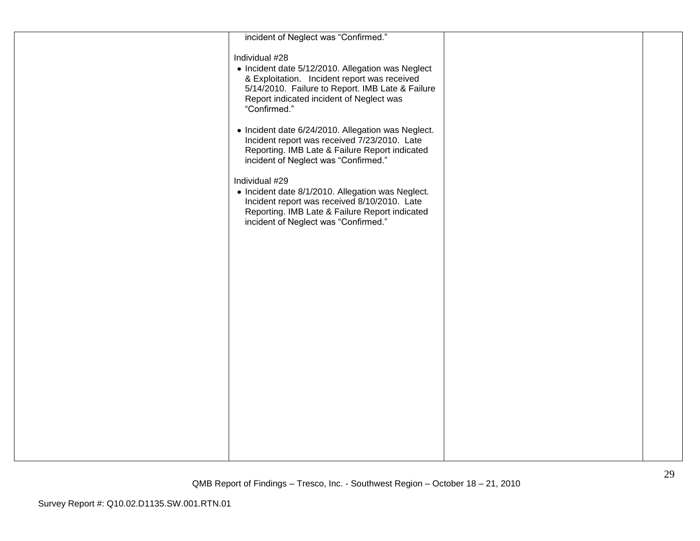| incident of Neglect was "Confirmed."                                                                                                                                                                                                |  |
|-------------------------------------------------------------------------------------------------------------------------------------------------------------------------------------------------------------------------------------|--|
| Individual #28<br>• Incident date 5/12/2010. Allegation was Neglect<br>& Exploitation. Incident report was received<br>5/14/2010. Failure to Report. IMB Late & Failure<br>Report indicated incident of Neglect was<br>"Confirmed." |  |
| • Incident date 6/24/2010. Allegation was Neglect.<br>Incident report was received 7/23/2010. Late<br>Reporting. IMB Late & Failure Report indicated<br>incident of Neglect was "Confirmed."                                        |  |
| Individual #29<br>• Incident date 8/1/2010. Allegation was Neglect.<br>Incident report was received 8/10/2010. Late<br>Reporting. IMB Late & Failure Report indicated<br>incident of Neglect was "Confirmed."                       |  |
|                                                                                                                                                                                                                                     |  |
|                                                                                                                                                                                                                                     |  |
|                                                                                                                                                                                                                                     |  |
|                                                                                                                                                                                                                                     |  |
|                                                                                                                                                                                                                                     |  |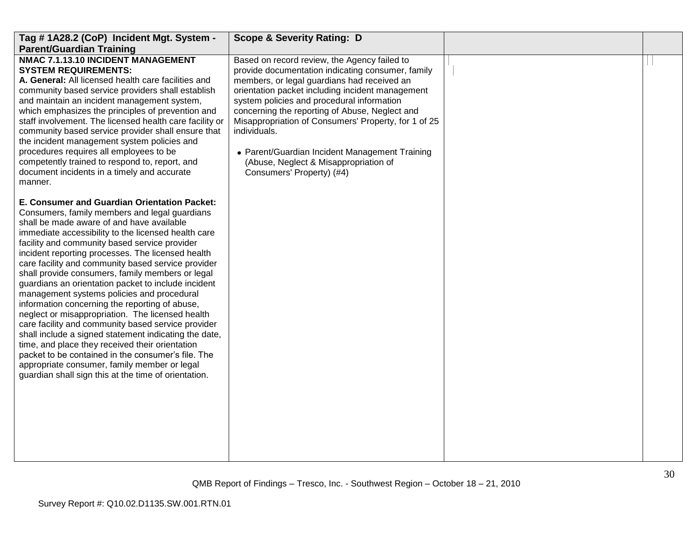| Tag #1A28.2 (CoP) Incident Mgt. System -                                                                                                                                                                                                                                                                                                                                                                                                                                                                                                                                                                                                                                                                                                                                                                                                                                                                                                                     | <b>Scope &amp; Severity Rating: D</b>                                                                                                                                                                                                                                                                                                                                                                                                                                                                |  |
|--------------------------------------------------------------------------------------------------------------------------------------------------------------------------------------------------------------------------------------------------------------------------------------------------------------------------------------------------------------------------------------------------------------------------------------------------------------------------------------------------------------------------------------------------------------------------------------------------------------------------------------------------------------------------------------------------------------------------------------------------------------------------------------------------------------------------------------------------------------------------------------------------------------------------------------------------------------|------------------------------------------------------------------------------------------------------------------------------------------------------------------------------------------------------------------------------------------------------------------------------------------------------------------------------------------------------------------------------------------------------------------------------------------------------------------------------------------------------|--|
| <b>Parent/Guardian Training</b><br>NMAC 7.1.13.10 INCIDENT MANAGEMENT<br><b>SYSTEM REQUIREMENTS:</b><br>A. General: All licensed health care facilities and<br>community based service providers shall establish<br>and maintain an incident management system,<br>which emphasizes the principles of prevention and<br>staff involvement. The licensed health care facility or<br>community based service provider shall ensure that<br>the incident management system policies and<br>procedures requires all employees to be<br>competently trained to respond to, report, and<br>document incidents in a timely and accurate<br>manner.                                                                                                                                                                                                                                                                                                                  | Based on record review, the Agency failed to<br>provide documentation indicating consumer, family<br>members, or legal guardians had received an<br>orientation packet including incident management<br>system policies and procedural information<br>concerning the reporting of Abuse, Neglect and<br>Misappropriation of Consumers' Property, for 1 of 25<br>individuals.<br>• Parent/Guardian Incident Management Training<br>(Abuse, Neglect & Misappropriation of<br>Consumers' Property) (#4) |  |
| E. Consumer and Guardian Orientation Packet:<br>Consumers, family members and legal guardians<br>shall be made aware of and have available<br>immediate accessibility to the licensed health care<br>facility and community based service provider<br>incident reporting processes. The licensed health<br>care facility and community based service provider<br>shall provide consumers, family members or legal<br>guardians an orientation packet to include incident<br>management systems policies and procedural<br>information concerning the reporting of abuse,<br>neglect or misappropriation. The licensed health<br>care facility and community based service provider<br>shall include a signed statement indicating the date,<br>time, and place they received their orientation<br>packet to be contained in the consumer's file. The<br>appropriate consumer, family member or legal<br>guardian shall sign this at the time of orientation. |                                                                                                                                                                                                                                                                                                                                                                                                                                                                                                      |  |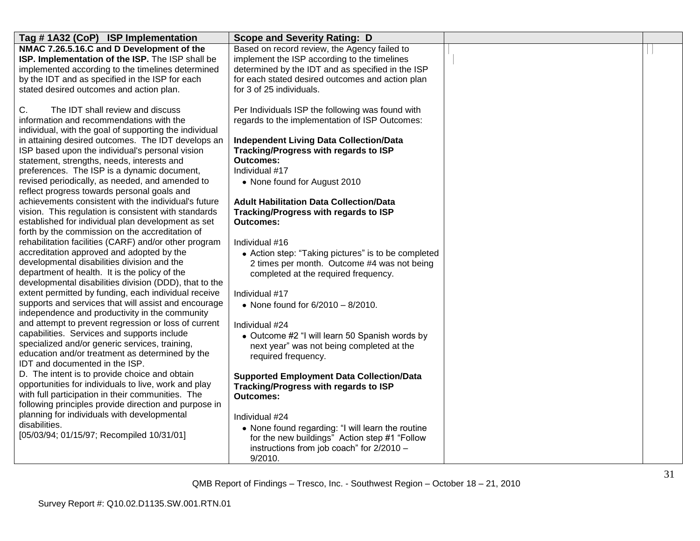| Tag #1A32 (CoP) ISP Implementation                     | <b>Scope and Severity Rating: D</b>                 |  |
|--------------------------------------------------------|-----------------------------------------------------|--|
| NMAC 7.26.5.16.C and D Development of the              | Based on record review, the Agency failed to        |  |
| ISP. Implementation of the ISP. The ISP shall be       | implement the ISP according to the timelines        |  |
| implemented according to the timelines determined      | determined by the IDT and as specified in the ISP   |  |
| by the IDT and as specified in the ISP for each        | for each stated desired outcomes and action plan    |  |
| stated desired outcomes and action plan.               | for 3 of 25 individuals.                            |  |
|                                                        |                                                     |  |
| C.<br>The IDT shall review and discuss                 | Per Individuals ISP the following was found with    |  |
| information and recommendations with the               | regards to the implementation of ISP Outcomes:      |  |
| individual, with the goal of supporting the individual |                                                     |  |
| in attaining desired outcomes. The IDT develops an     | <b>Independent Living Data Collection/Data</b>      |  |
| ISP based upon the individual's personal vision        | Tracking/Progress with regards to ISP               |  |
| statement, strengths, needs, interests and             | <b>Outcomes:</b>                                    |  |
| preferences. The ISP is a dynamic document,            | Individual #17                                      |  |
| revised periodically, as needed, and amended to        | • None found for August 2010                        |  |
| reflect progress towards personal goals and            |                                                     |  |
| achievements consistent with the individual's future   | <b>Adult Habilitation Data Collection/Data</b>      |  |
| vision. This regulation is consistent with standards   | Tracking/Progress with regards to ISP               |  |
| established for individual plan development as set     | Outcomes:                                           |  |
| forth by the commission on the accreditation of        |                                                     |  |
| rehabilitation facilities (CARF) and/or other program  | Individual #16                                      |  |
| accreditation approved and adopted by the              | • Action step: "Taking pictures" is to be completed |  |
| developmental disabilities division and the            | 2 times per month. Outcome #4 was not being         |  |
| department of health. It is the policy of the          | completed at the required frequency.                |  |
| developmental disabilities division (DDD), that to the |                                                     |  |
| extent permitted by funding, each individual receive   | Individual #17                                      |  |
| supports and services that will assist and encourage   | • None found for $6/2010 - 8/2010$ .                |  |
| independence and productivity in the community         |                                                     |  |
| and attempt to prevent regression or loss of current   | Individual #24                                      |  |
| capabilities. Services and supports include            | • Outcome #2 "I will learn 50 Spanish words by      |  |
| specialized and/or generic services, training,         | next year" was not being completed at the           |  |
| education and/or treatment as determined by the        | required frequency.                                 |  |
| IDT and documented in the ISP.                         |                                                     |  |
| D. The intent is to provide choice and obtain          | <b>Supported Employment Data Collection/Data</b>    |  |
| opportunities for individuals to live, work and play   | Tracking/Progress with regards to ISP               |  |
| with full participation in their communities. The      | <b>Outcomes:</b>                                    |  |
| following principles provide direction and purpose in  |                                                     |  |
| planning for individuals with developmental            | Individual #24                                      |  |
| disabilities.                                          | • None found regarding: "I will learn the routine   |  |
| [05/03/94; 01/15/97; Recompiled 10/31/01]              | for the new buildings" Action step #1 "Follow       |  |
|                                                        | instructions from job coach" for 2/2010 -           |  |
|                                                        | 9/2010.                                             |  |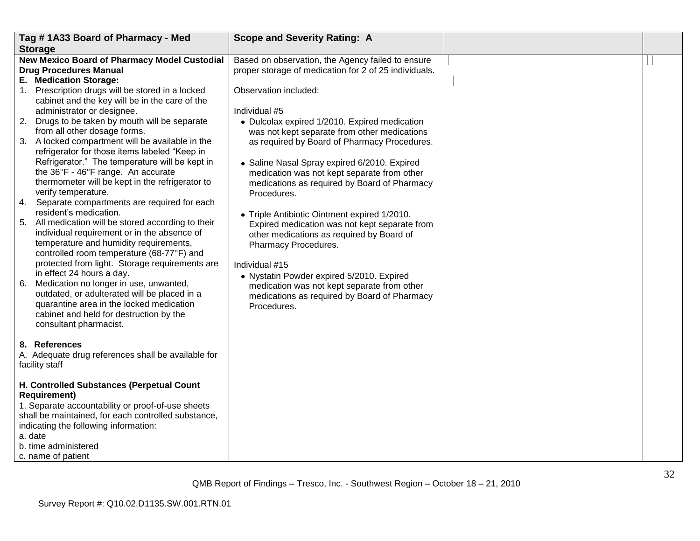|    | Tag #1A33 Board of Pharmacy - Med                                                                                                            | <b>Scope and Severity Rating: A</b>                                                                        |  |
|----|----------------------------------------------------------------------------------------------------------------------------------------------|------------------------------------------------------------------------------------------------------------|--|
|    | <b>Storage</b>                                                                                                                               |                                                                                                            |  |
|    | New Mexico Board of Pharmacy Model Custodial<br><b>Drug Procedures Manual</b>                                                                | Based on observation, the Agency failed to ensure<br>proper storage of medication for 2 of 25 individuals. |  |
|    | E. Medication Storage:                                                                                                                       |                                                                                                            |  |
|    | 1. Prescription drugs will be stored in a locked<br>cabinet and the key will be in the care of the                                           | Observation included:                                                                                      |  |
|    | administrator or designee.                                                                                                                   | Individual #5                                                                                              |  |
|    | 2. Drugs to be taken by mouth will be separate<br>from all other dosage forms.                                                               | • Dulcolax expired 1/2010. Expired medication<br>was not kept separate from other medications              |  |
|    | 3. A locked compartment will be available in the<br>refrigerator for those items labeled "Keep in                                            | as required by Board of Pharmacy Procedures.                                                               |  |
|    | Refrigerator." The temperature will be kept in<br>the 36°F - 46°F range. An accurate                                                         | • Saline Nasal Spray expired 6/2010. Expired<br>medication was not kept separate from other                |  |
|    | thermometer will be kept in the refrigerator to<br>verify temperature.                                                                       | medications as required by Board of Pharmacy<br>Procedures.                                                |  |
|    | 4. Separate compartments are required for each<br>resident's medication.                                                                     | • Triple Antibiotic Ointment expired 1/2010.                                                               |  |
|    | 5. All medication will be stored according to their<br>individual requirement or in the absence of<br>temperature and humidity requirements, | Expired medication was not kept separate from<br>other medications as required by Board of                 |  |
|    | controlled room temperature (68-77°F) and<br>protected from light. Storage requirements are                                                  | Pharmacy Procedures.<br>Individual #15                                                                     |  |
| 6. | in effect 24 hours a day.<br>Medication no longer in use, unwanted,                                                                          | • Nystatin Powder expired 5/2010. Expired                                                                  |  |
|    | outdated, or adulterated will be placed in a<br>quarantine area in the locked medication                                                     | medication was not kept separate from other<br>medications as required by Board of Pharmacy                |  |
|    | cabinet and held for destruction by the<br>consultant pharmacist.                                                                            | Procedures.                                                                                                |  |
|    | 8. References                                                                                                                                |                                                                                                            |  |
|    | A. Adequate drug references shall be available for<br>facility staff                                                                         |                                                                                                            |  |
|    | H. Controlled Substances (Perpetual Count<br><b>Requirement)</b>                                                                             |                                                                                                            |  |
|    | 1. Separate accountability or proof-of-use sheets                                                                                            |                                                                                                            |  |
|    | shall be maintained, for each controlled substance,                                                                                          |                                                                                                            |  |
|    | indicating the following information:                                                                                                        |                                                                                                            |  |
|    | a. date                                                                                                                                      |                                                                                                            |  |
|    | b. time administered                                                                                                                         |                                                                                                            |  |
|    | c. name of patient                                                                                                                           |                                                                                                            |  |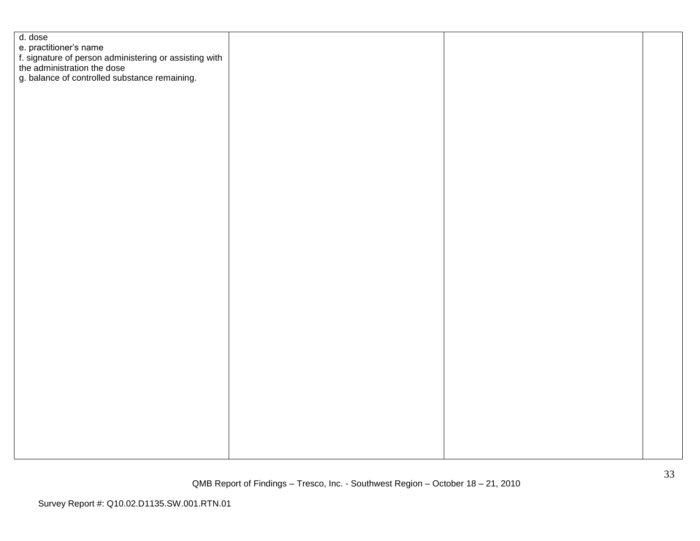| d. dose<br>e. practitioner's name<br>f. signature of person administering or assisting with<br>the administration the dose<br>g. balance of controlled substance remaining. |  |  |
|-----------------------------------------------------------------------------------------------------------------------------------------------------------------------------|--|--|
|                                                                                                                                                                             |  |  |
|                                                                                                                                                                             |  |  |
|                                                                                                                                                                             |  |  |
|                                                                                                                                                                             |  |  |
|                                                                                                                                                                             |  |  |
|                                                                                                                                                                             |  |  |
|                                                                                                                                                                             |  |  |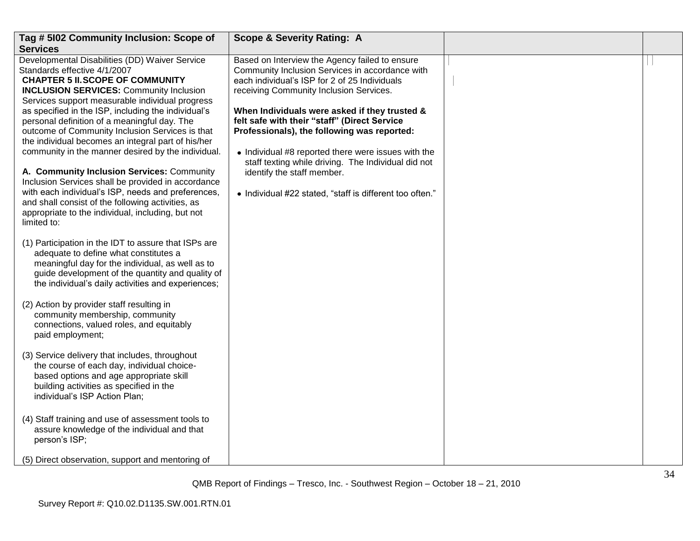| Tag # 5102 Community Inclusion: Scope of                                                                                                                                                                                                                                                                                                                                                                                                                                                                                                                                                                                                                                                                                                                                               | <b>Scope &amp; Severity Rating: A</b>                                                                                                                                                                                                                                                                                                                                                                                                                                                                                                                 |  |
|----------------------------------------------------------------------------------------------------------------------------------------------------------------------------------------------------------------------------------------------------------------------------------------------------------------------------------------------------------------------------------------------------------------------------------------------------------------------------------------------------------------------------------------------------------------------------------------------------------------------------------------------------------------------------------------------------------------------------------------------------------------------------------------|-------------------------------------------------------------------------------------------------------------------------------------------------------------------------------------------------------------------------------------------------------------------------------------------------------------------------------------------------------------------------------------------------------------------------------------------------------------------------------------------------------------------------------------------------------|--|
| <b>Services</b>                                                                                                                                                                                                                                                                                                                                                                                                                                                                                                                                                                                                                                                                                                                                                                        |                                                                                                                                                                                                                                                                                                                                                                                                                                                                                                                                                       |  |
| Developmental Disabilities (DD) Waiver Service<br>Standards effective 4/1/2007<br><b>CHAPTER 5 II.SCOPE OF COMMUNITY</b><br><b>INCLUSION SERVICES: Community Inclusion</b><br>Services support measurable individual progress<br>as specified in the ISP, including the individual's<br>personal definition of a meaningful day. The<br>outcome of Community Inclusion Services is that<br>the individual becomes an integral part of his/her<br>community in the manner desired by the individual.<br>A. Community Inclusion Services: Community<br>Inclusion Services shall be provided in accordance<br>with each individual's ISP, needs and preferences,<br>and shall consist of the following activities, as<br>appropriate to the individual, including, but not<br>limited to: | Based on Interview the Agency failed to ensure<br>Community Inclusion Services in accordance with<br>each individual's ISP for 2 of 25 Individuals<br>receiving Community Inclusion Services.<br>When Individuals were asked if they trusted &<br>felt safe with their "staff" (Direct Service<br>Professionals), the following was reported:<br>• Individual #8 reported there were issues with the<br>staff texting while driving. The Individual did not<br>identify the staff member.<br>• Individual #22 stated, "staff is different too often." |  |
| (1) Participation in the IDT to assure that ISPs are<br>adequate to define what constitutes a<br>meaningful day for the individual, as well as to<br>guide development of the quantity and quality of<br>the individual's daily activities and experiences;                                                                                                                                                                                                                                                                                                                                                                                                                                                                                                                            |                                                                                                                                                                                                                                                                                                                                                                                                                                                                                                                                                       |  |
| (2) Action by provider staff resulting in<br>community membership, community<br>connections, valued roles, and equitably<br>paid employment;                                                                                                                                                                                                                                                                                                                                                                                                                                                                                                                                                                                                                                           |                                                                                                                                                                                                                                                                                                                                                                                                                                                                                                                                                       |  |
| (3) Service delivery that includes, throughout<br>the course of each day, individual choice-<br>based options and age appropriate skill<br>building activities as specified in the<br>individual's ISP Action Plan;                                                                                                                                                                                                                                                                                                                                                                                                                                                                                                                                                                    |                                                                                                                                                                                                                                                                                                                                                                                                                                                                                                                                                       |  |
| (4) Staff training and use of assessment tools to<br>assure knowledge of the individual and that<br>person's ISP;                                                                                                                                                                                                                                                                                                                                                                                                                                                                                                                                                                                                                                                                      |                                                                                                                                                                                                                                                                                                                                                                                                                                                                                                                                                       |  |
| (5) Direct observation, support and mentoring of                                                                                                                                                                                                                                                                                                                                                                                                                                                                                                                                                                                                                                                                                                                                       |                                                                                                                                                                                                                                                                                                                                                                                                                                                                                                                                                       |  |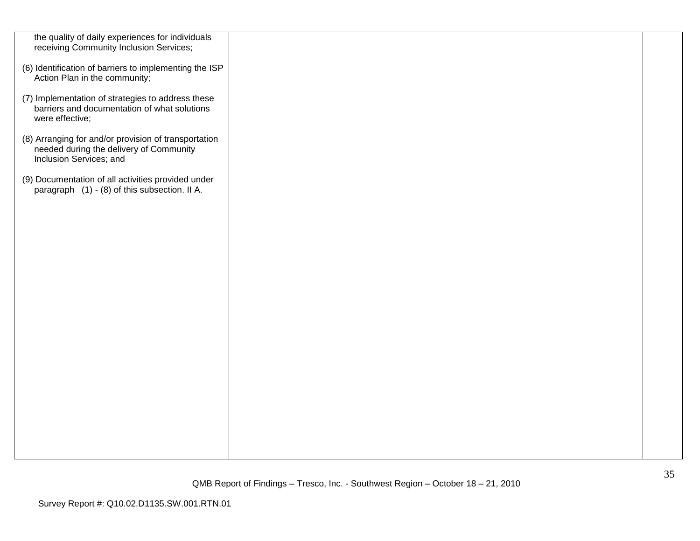| the quality of daily experiences for individuals<br>receiving Community Inclusion Services;                                |  |  |
|----------------------------------------------------------------------------------------------------------------------------|--|--|
| (6) Identification of barriers to implementing the ISP<br>Action Plan in the community;                                    |  |  |
| (7) Implementation of strategies to address these<br>barriers and documentation of what solutions<br>were effective;       |  |  |
| (8) Arranging for and/or provision of transportation<br>needed during the delivery of Community<br>Inclusion Services; and |  |  |
| (9) Documentation of all activities provided under<br>paragraph (1) - (8) of this subsection. II A.                        |  |  |
|                                                                                                                            |  |  |
|                                                                                                                            |  |  |
|                                                                                                                            |  |  |
|                                                                                                                            |  |  |
|                                                                                                                            |  |  |
|                                                                                                                            |  |  |
|                                                                                                                            |  |  |
|                                                                                                                            |  |  |
|                                                                                                                            |  |  |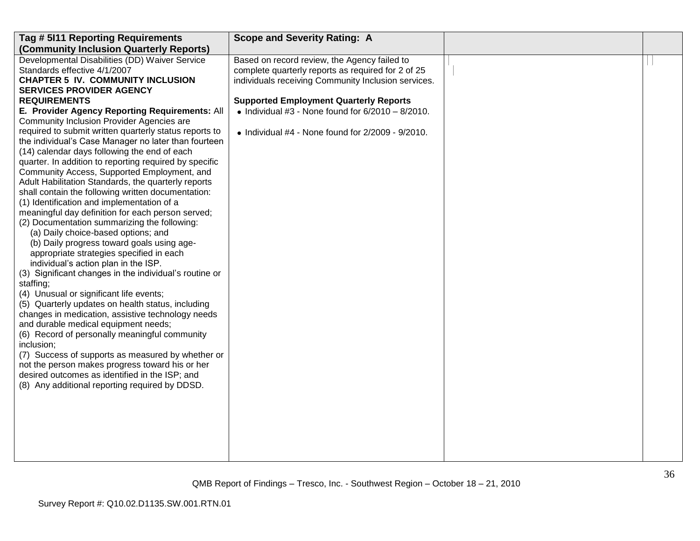| Tag # 5111 Reporting Requirements                      | <b>Scope and Severity Rating: A</b>                       |  |
|--------------------------------------------------------|-----------------------------------------------------------|--|
| (Community Inclusion Quarterly Reports)                |                                                           |  |
| Developmental Disabilities (DD) Waiver Service         | Based on record review, the Agency failed to              |  |
| Standards effective 4/1/2007                           | complete quarterly reports as required for 2 of 25        |  |
| <b>CHAPTER 5 IV. COMMUNITY INCLUSION</b>               | individuals receiving Community Inclusion services.       |  |
| <b>SERVICES PROVIDER AGENCY</b>                        |                                                           |  |
| <b>REQUIREMENTS</b>                                    | <b>Supported Employment Quarterly Reports</b>             |  |
| E. Provider Agency Reporting Requirements: All         | $\bullet$ Individual #3 - None found for 6/2010 - 8/2010. |  |
| Community Inclusion Provider Agencies are              |                                                           |  |
| required to submit written quarterly status reports to | $\bullet$ Individual #4 - None found for 2/2009 - 9/2010. |  |
| the individual's Case Manager no later than fourteen   |                                                           |  |
| (14) calendar days following the end of each           |                                                           |  |
| quarter. In addition to reporting required by specific |                                                           |  |
| Community Access, Supported Employment, and            |                                                           |  |
| Adult Habilitation Standards, the quarterly reports    |                                                           |  |
| shall contain the following written documentation:     |                                                           |  |
| (1) Identification and implementation of a             |                                                           |  |
| meaningful day definition for each person served;      |                                                           |  |
| (2) Documentation summarizing the following:           |                                                           |  |
| (a) Daily choice-based options; and                    |                                                           |  |
| (b) Daily progress toward goals using age-             |                                                           |  |
| appropriate strategies specified in each               |                                                           |  |
| individual's action plan in the ISP.                   |                                                           |  |
| (3) Significant changes in the individual's routine or |                                                           |  |
| staffing;                                              |                                                           |  |
| (4) Unusual or significant life events;                |                                                           |  |
| (5) Quarterly updates on health status, including      |                                                           |  |
| changes in medication, assistive technology needs      |                                                           |  |
| and durable medical equipment needs;                   |                                                           |  |
| (6) Record of personally meaningful community          |                                                           |  |
| inclusion;                                             |                                                           |  |
| (7) Success of supports as measured by whether or      |                                                           |  |
| not the person makes progress toward his or her        |                                                           |  |
| desired outcomes as identified in the ISP; and         |                                                           |  |
| (8) Any additional reporting required by DDSD.         |                                                           |  |
|                                                        |                                                           |  |
|                                                        |                                                           |  |
|                                                        |                                                           |  |
|                                                        |                                                           |  |
|                                                        |                                                           |  |
|                                                        |                                                           |  |
|                                                        |                                                           |  |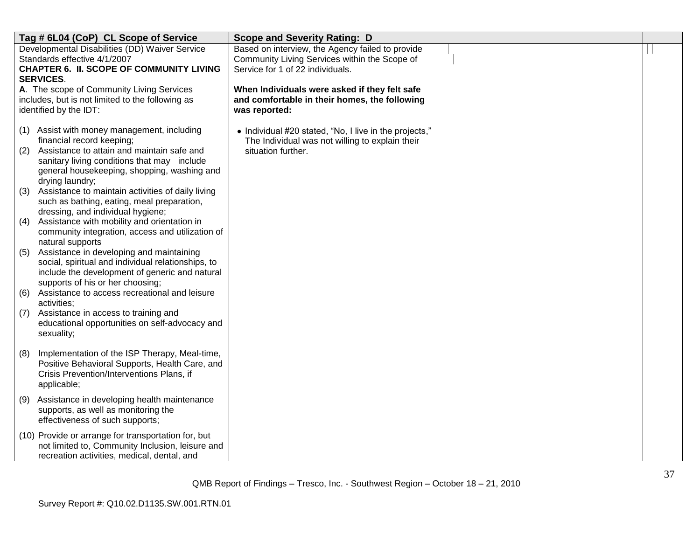|     | Tag # 6L04 (CoP) CL Scope of Service                                                                                                                                                 | <b>Scope and Severity Rating: D</b>                                                                                                   |  |
|-----|--------------------------------------------------------------------------------------------------------------------------------------------------------------------------------------|---------------------------------------------------------------------------------------------------------------------------------------|--|
|     | Developmental Disabilities (DD) Waiver Service<br>Standards effective 4/1/2007<br><b>CHAPTER 6. II. SCOPE OF COMMUNITY LIVING</b><br><b>SERVICES.</b>                                | Based on interview, the Agency failed to provide<br>Community Living Services within the Scope of<br>Service for 1 of 22 individuals. |  |
|     | A. The scope of Community Living Services<br>includes, but is not limited to the following as<br>identified by the IDT:                                                              | When Individuals were asked if they felt safe<br>and comfortable in their homes, the following<br>was reported:                       |  |
|     | (1) Assist with money management, including<br>financial record keeping;                                                                                                             | • Individual #20 stated, "No, I live in the projects,"<br>The Individual was not willing to explain their                             |  |
| (2) | Assistance to attain and maintain safe and<br>sanitary living conditions that may include<br>general housekeeping, shopping, washing and<br>drying laundry;                          | situation further.                                                                                                                    |  |
| (3) | Assistance to maintain activities of daily living<br>such as bathing, eating, meal preparation,<br>dressing, and individual hygiene;                                                 |                                                                                                                                       |  |
| (4) | Assistance with mobility and orientation in<br>community integration, access and utilization of<br>natural supports                                                                  |                                                                                                                                       |  |
| (5) | Assistance in developing and maintaining<br>social, spiritual and individual relationships, to<br>include the development of generic and natural<br>supports of his or her choosing; |                                                                                                                                       |  |
| (6) | Assistance to access recreational and leisure<br>activities;                                                                                                                         |                                                                                                                                       |  |
| (7) | Assistance in access to training and<br>educational opportunities on self-advocacy and<br>sexuality;                                                                                 |                                                                                                                                       |  |
| (8) | Implementation of the ISP Therapy, Meal-time,<br>Positive Behavioral Supports, Health Care, and<br>Crisis Prevention/Interventions Plans, if<br>applicable;                          |                                                                                                                                       |  |
|     | (9) Assistance in developing health maintenance<br>supports, as well as monitoring the<br>effectiveness of such supports;                                                            |                                                                                                                                       |  |
|     | (10) Provide or arrange for transportation for, but<br>not limited to, Community Inclusion, leisure and<br>recreation activities, medical, dental, and                               |                                                                                                                                       |  |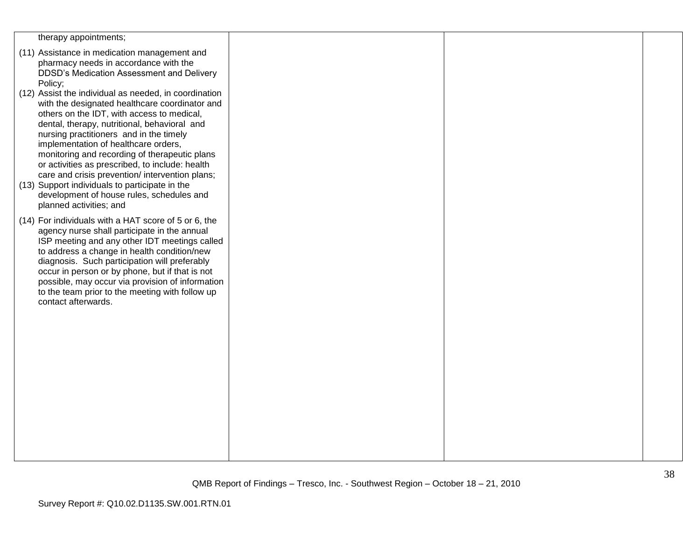| therapy appointments;                                                                                                                                                                                                                                                                                                                                                                                                                           |  |  |
|-------------------------------------------------------------------------------------------------------------------------------------------------------------------------------------------------------------------------------------------------------------------------------------------------------------------------------------------------------------------------------------------------------------------------------------------------|--|--|
| (11) Assistance in medication management and<br>pharmacy needs in accordance with the<br>DDSD's Medication Assessment and Delivery<br>Policy;                                                                                                                                                                                                                                                                                                   |  |  |
| (12) Assist the individual as needed, in coordination<br>with the designated healthcare coordinator and<br>others on the IDT, with access to medical,<br>dental, therapy, nutritional, behavioral and<br>nursing practitioners and in the timely<br>implementation of healthcare orders,<br>monitoring and recording of therapeutic plans<br>or activities as prescribed, to include: health<br>care and crisis prevention/ intervention plans; |  |  |
| (13) Support individuals to participate in the<br>development of house rules, schedules and<br>planned activities; and                                                                                                                                                                                                                                                                                                                          |  |  |
| (14) For individuals with a HAT score of 5 or 6, the<br>agency nurse shall participate in the annual<br>ISP meeting and any other IDT meetings called<br>to address a change in health condition/new<br>diagnosis. Such participation will preferably<br>occur in person or by phone, but if that is not<br>possible, may occur via provision of information<br>to the team prior to the meeting with follow up<br>contact afterwards.          |  |  |
|                                                                                                                                                                                                                                                                                                                                                                                                                                                 |  |  |
|                                                                                                                                                                                                                                                                                                                                                                                                                                                 |  |  |
|                                                                                                                                                                                                                                                                                                                                                                                                                                                 |  |  |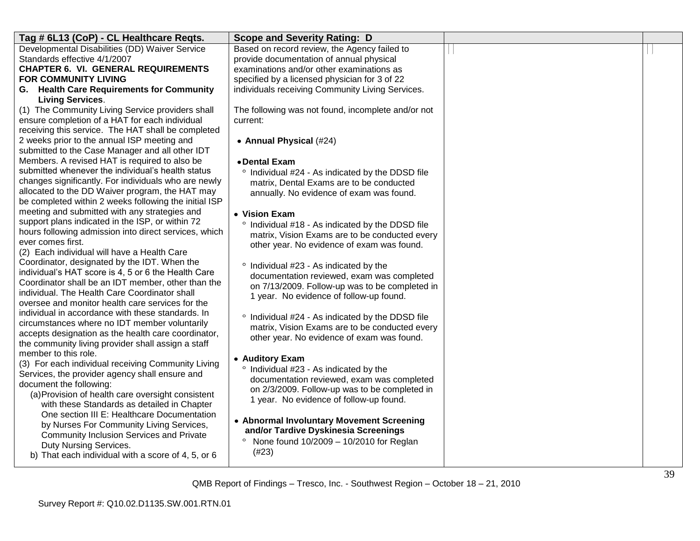| Tag # 6L13 (CoP) - CL Healthcare Regts.                                                            | <b>Scope and Severity Rating: D</b>                                                          |  |
|----------------------------------------------------------------------------------------------------|----------------------------------------------------------------------------------------------|--|
| Developmental Disabilities (DD) Waiver Service                                                     | Based on record review, the Agency failed to                                                 |  |
| Standards effective 4/1/2007                                                                       | provide documentation of annual physical                                                     |  |
| <b>CHAPTER 6. VI. GENERAL REQUIREMENTS</b>                                                         | examinations and/or other examinations as                                                    |  |
| <b>FOR COMMUNITY LIVING</b>                                                                        | specified by a licensed physician for 3 of 22                                                |  |
| G. Health Care Requirements for Community                                                          | individuals receiving Community Living Services.                                             |  |
| <b>Living Services.</b>                                                                            |                                                                                              |  |
| (1) The Community Living Service providers shall                                                   | The following was not found, incomplete and/or not                                           |  |
| ensure completion of a HAT for each individual                                                     | current:                                                                                     |  |
| receiving this service. The HAT shall be completed                                                 |                                                                                              |  |
| 2 weeks prior to the annual ISP meeting and                                                        | • Annual Physical (#24)                                                                      |  |
| submitted to the Case Manager and all other IDT                                                    |                                                                                              |  |
| Members. A revised HAT is required to also be<br>submitted whenever the individual's health status | • Dental Exam                                                                                |  |
| changes significantly. For individuals who are newly                                               | ° Individual #24 - As indicated by the DDSD file                                             |  |
| allocated to the DD Waiver program, the HAT may                                                    | matrix, Dental Exams are to be conducted                                                     |  |
| be completed within 2 weeks following the initial ISP                                              | annually. No evidence of exam was found.                                                     |  |
| meeting and submitted with any strategies and                                                      |                                                                                              |  |
| support plans indicated in the ISP, or within 72                                                   | • Vision Exam                                                                                |  |
| hours following admission into direct services, which                                              | ° Individual #18 - As indicated by the DDSD file                                             |  |
| ever comes first.                                                                                  | matrix, Vision Exams are to be conducted every<br>other year. No evidence of exam was found. |  |
| (2) Each individual will have a Health Care                                                        |                                                                                              |  |
| Coordinator, designated by the IDT. When the                                                       | ° Individual #23 - As indicated by the                                                       |  |
| individual's HAT score is 4, 5 or 6 the Health Care                                                | documentation reviewed, exam was completed                                                   |  |
| Coordinator shall be an IDT member, other than the                                                 | on 7/13/2009. Follow-up was to be completed in                                               |  |
| individual. The Health Care Coordinator shall                                                      | 1 year. No evidence of follow-up found.                                                      |  |
| oversee and monitor health care services for the                                                   |                                                                                              |  |
| individual in accordance with these standards. In                                                  | ° Individual #24 - As indicated by the DDSD file                                             |  |
| circumstances where no IDT member voluntarily                                                      | matrix, Vision Exams are to be conducted every                                               |  |
| accepts designation as the health care coordinator,                                                | other year. No evidence of exam was found.                                                   |  |
| the community living provider shall assign a staff                                                 |                                                                                              |  |
| member to this role.                                                                               | • Auditory Exam                                                                              |  |
| (3) For each individual receiving Community Living                                                 | ° Individual #23 - As indicated by the                                                       |  |
| Services, the provider agency shall ensure and                                                     | documentation reviewed, exam was completed                                                   |  |
| document the following:                                                                            | on 2/3/2009. Follow-up was to be completed in                                                |  |
| (a) Provision of health care oversight consistent<br>with these Standards as detailed in Chapter   | 1 year. No evidence of follow-up found.                                                      |  |
| One section III E: Healthcare Documentation                                                        |                                                                                              |  |
| by Nurses For Community Living Services,                                                           | • Abnormal Involuntary Movement Screening                                                    |  |
| Community Inclusion Services and Private                                                           | and/or Tardive Dyskinesia Screenings                                                         |  |
| Duty Nursing Services.                                                                             | None found 10/2009 - 10/2010 for Reglan<br>$\circ$                                           |  |
| b) That each individual with a score of 4, 5, or 6                                                 | (#23)                                                                                        |  |
|                                                                                                    |                                                                                              |  |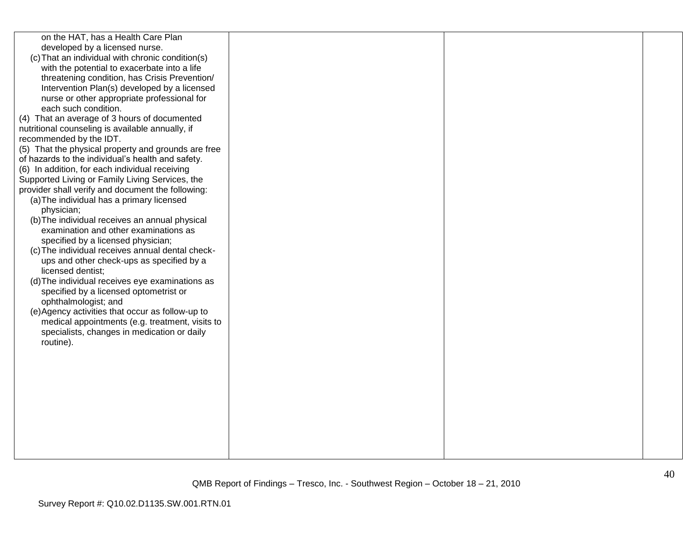| on the HAT, has a Health Care Plan<br>developed by a licensed nurse.<br>(c) That an individual with chronic condition(s)<br>with the potential to exacerbate into a life<br>threatening condition, has Crisis Prevention/<br>Intervention Plan(s) developed by a licensed<br>nurse or other appropriate professional for<br>each such condition.<br>(4) That an average of 3 hours of documented<br>nutritional counseling is available annually, if<br>recommended by the IDT.<br>(5) That the physical property and grounds are free<br>of hazards to the individual's health and safety.<br>(6) In addition, for each individual receiving<br>Supported Living or Family Living Services, the<br>provider shall verify and document the following:<br>(a) The individual has a primary licensed<br>physician;<br>(b) The individual receives an annual physical<br>examination and other examinations as<br>specified by a licensed physician;<br>(c) The individual receives annual dental check-<br>ups and other check-ups as specified by a<br>licensed dentist;<br>(d) The individual receives eye examinations as<br>specified by a licensed optometrist or<br>ophthalmologist; and<br>(e) Agency activities that occur as follow-up to<br>medical appointments (e.g. treatment, visits to<br>specialists, changes in medication or daily<br>routine). |  |  |
|-----------------------------------------------------------------------------------------------------------------------------------------------------------------------------------------------------------------------------------------------------------------------------------------------------------------------------------------------------------------------------------------------------------------------------------------------------------------------------------------------------------------------------------------------------------------------------------------------------------------------------------------------------------------------------------------------------------------------------------------------------------------------------------------------------------------------------------------------------------------------------------------------------------------------------------------------------------------------------------------------------------------------------------------------------------------------------------------------------------------------------------------------------------------------------------------------------------------------------------------------------------------------------------------------------------------------------------------------------------------|--|--|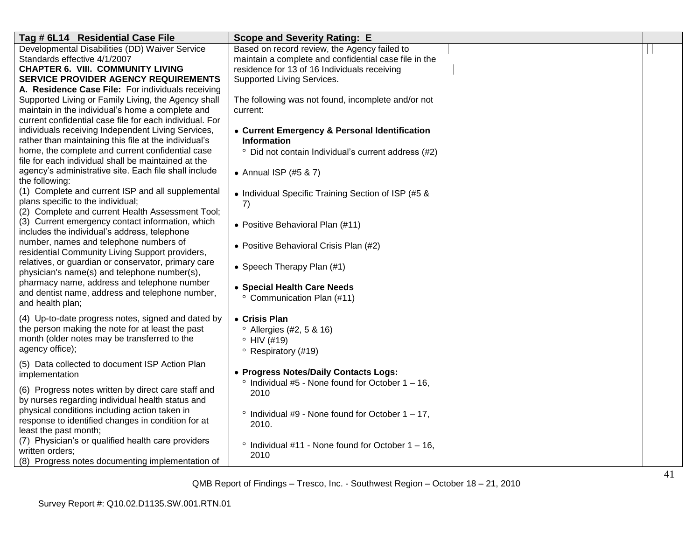| Tag # 6L14 Residential Case File                                                                        | <b>Scope and Severity Rating: E</b>                            |  |
|---------------------------------------------------------------------------------------------------------|----------------------------------------------------------------|--|
| Developmental Disabilities (DD) Waiver Service                                                          | Based on record review, the Agency failed to                   |  |
| Standards effective 4/1/2007                                                                            | maintain a complete and confidential case file in the          |  |
| <b>CHAPTER 6. VIII. COMMUNITY LIVING</b>                                                                | residence for 13 of 16 Individuals receiving                   |  |
| <b>SERVICE PROVIDER AGENCY REQUIREMENTS</b>                                                             | Supported Living Services.                                     |  |
| A. Residence Case File: For individuals receiving                                                       |                                                                |  |
| Supported Living or Family Living, the Agency shall                                                     | The following was not found, incomplete and/or not             |  |
| maintain in the individual's home a complete and                                                        | current:                                                       |  |
| current confidential case file for each individual. For                                                 |                                                                |  |
| individuals receiving Independent Living Services,                                                      | • Current Emergency & Personal Identification                  |  |
| rather than maintaining this file at the individual's                                                   | <b>Information</b>                                             |  |
| home, the complete and current confidential case<br>file for each individual shall be maintained at the | $\circ$<br>Did not contain Individual's current address (#2)   |  |
| agency's administrative site. Each file shall include                                                   | • Annual ISP (#5 & 7)                                          |  |
| the following:                                                                                          |                                                                |  |
| (1) Complete and current ISP and all supplemental                                                       | • Individual Specific Training Section of ISP (#5 &            |  |
| plans specific to the individual;                                                                       | 7)                                                             |  |
| (2) Complete and current Health Assessment Tool;                                                        |                                                                |  |
| (3) Current emergency contact information, which                                                        | • Positive Behavioral Plan (#11)                               |  |
| includes the individual's address, telephone                                                            |                                                                |  |
| number, names and telephone numbers of                                                                  | • Positive Behavioral Crisis Plan (#2)                         |  |
| residential Community Living Support providers,                                                         |                                                                |  |
| relatives, or guardian or conservator, primary care                                                     | • Speech Therapy Plan (#1)                                     |  |
| physician's name(s) and telephone number(s),                                                            |                                                                |  |
| pharmacy name, address and telephone number<br>and dentist name, address and telephone number,          | • Special Health Care Needs                                    |  |
| and health plan;                                                                                        | ° Communication Plan (#11)                                     |  |
|                                                                                                         |                                                                |  |
| (4) Up-to-date progress notes, signed and dated by                                                      | • Crisis Plan                                                  |  |
| the person making the note for at least the past                                                        | $^{\circ}$ Allergies (#2, 5 & 16)                              |  |
| month (older notes may be transferred to the                                                            | $\degree$ HIV (#19)                                            |  |
| agency office);                                                                                         | $^{\circ}$ Respiratory (#19)                                   |  |
| (5) Data collected to document ISP Action Plan                                                          |                                                                |  |
| implementation                                                                                          | • Progress Notes/Daily Contacts Logs:                          |  |
| (6) Progress notes written by direct care staff and                                                     | $\circ$<br>Individual $#5$ - None found for October $1 - 16$ , |  |
| by nurses regarding individual health status and                                                        | 2010                                                           |  |
| physical conditions including action taken in                                                           |                                                                |  |
| response to identified changes in condition for at                                                      | $\degree$ Individual #9 - None found for October 1 - 17,       |  |
| least the past month;                                                                                   | 2010.                                                          |  |
| (7) Physician's or qualified health care providers                                                      | $\degree$ Individual #11 - None found for October 1 - 16,      |  |
| written orders;                                                                                         | 2010                                                           |  |
| (8) Progress notes documenting implementation of                                                        |                                                                |  |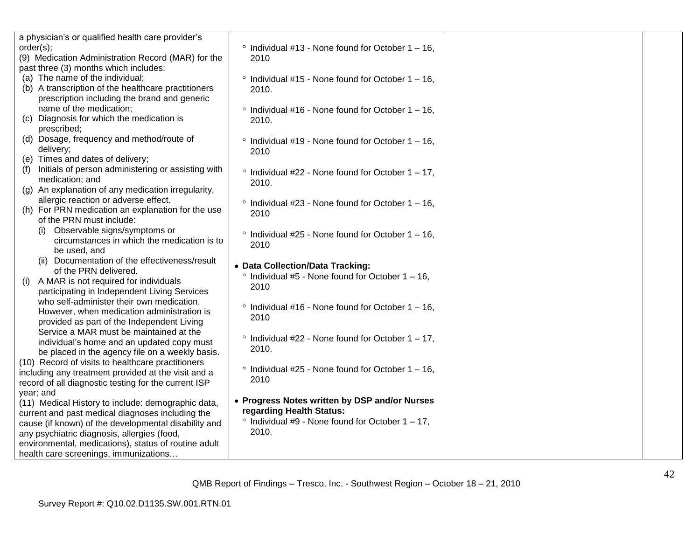| a physician's or qualified health care provider's                                                      |                                                        |                                                           |  |
|--------------------------------------------------------------------------------------------------------|--------------------------------------------------------|-----------------------------------------------------------|--|
| order(s);                                                                                              |                                                        | $\degree$ Individual #13 - None found for October 1 – 16, |  |
| (9) Medication Administration Record (MAR) for the                                                     |                                                        | 2010                                                      |  |
| past three (3) months which includes:                                                                  |                                                        |                                                           |  |
|                                                                                                        | (a) The name of the individual;                        | $\degree$ Individual #15 - None found for October 1 - 16, |  |
|                                                                                                        | (b) A transcription of the healthcare practitioners    | 2010.                                                     |  |
|                                                                                                        | prescription including the brand and generic           |                                                           |  |
|                                                                                                        | name of the medication;                                | $\degree$ Individual #16 - None found for October 1 - 16, |  |
|                                                                                                        | (c) Diagnosis for which the medication is              | 2010.                                                     |  |
|                                                                                                        | prescribed;                                            |                                                           |  |
|                                                                                                        | (d) Dosage, frequency and method/route of              | $\degree$ Individual #19 - None found for October 1 - 16, |  |
|                                                                                                        | delivery;                                              | 2010                                                      |  |
|                                                                                                        | (e) Times and dates of delivery;                       |                                                           |  |
|                                                                                                        | (f) Initials of person administering or assisting with | $\degree$ Individual #22 - None found for October 1 - 17, |  |
|                                                                                                        | medication; and                                        | 2010.                                                     |  |
|                                                                                                        | (g) An explanation of any medication irregularity,     |                                                           |  |
|                                                                                                        | allergic reaction or adverse effect.                   | $\degree$ Individual #23 - None found for October 1 - 16, |  |
|                                                                                                        | (h) For PRN medication an explanation for the use      | 2010                                                      |  |
|                                                                                                        | of the PRN must include:                               |                                                           |  |
|                                                                                                        | (i) Observable signs/symptoms or                       | $\degree$ Individual #25 - None found for October 1 - 16, |  |
|                                                                                                        | circumstances in which the medication is to            | 2010                                                      |  |
|                                                                                                        | be used, and                                           |                                                           |  |
|                                                                                                        | (ii) Documentation of the effectiveness/result         | • Data Collection/Data Tracking:                          |  |
|                                                                                                        | of the PRN delivered.                                  | $\degree$ Individual #5 - None found for October 1 - 16,  |  |
|                                                                                                        | A MAR is not required for individuals                  | 2010                                                      |  |
|                                                                                                        | participating in Independent Living Services           |                                                           |  |
|                                                                                                        | who self-administer their own medication.              | $\degree$ Individual #16 - None found for October 1 – 16. |  |
|                                                                                                        | However, when medication administration is             | 2010                                                      |  |
|                                                                                                        | provided as part of the Independent Living             |                                                           |  |
|                                                                                                        | Service a MAR must be maintained at the                | $\degree$ Individual #22 - None found for October 1 - 17, |  |
|                                                                                                        | individual's home and an updated copy must             | 2010.                                                     |  |
|                                                                                                        | be placed in the agency file on a weekly basis.        |                                                           |  |
|                                                                                                        | (10) Record of visits to healthcare practitioners      | $\degree$ Individual #25 - None found for October 1 - 16, |  |
|                                                                                                        | including any treatment provided at the visit and a    | 2010                                                      |  |
| record of all diagnostic testing for the current ISP                                                   |                                                        |                                                           |  |
| year; and                                                                                              |                                                        | • Progress Notes written by DSP and/or Nurses             |  |
| (11) Medical History to include: demographic data,<br>current and past medical diagnoses including the |                                                        | regarding Health Status:                                  |  |
| cause (if known) of the developmental disability and                                                   |                                                        | $\degree$ Individual #9 - None found for October 1 - 17,  |  |
| any psychiatric diagnosis, allergies (food,                                                            |                                                        | 2010.                                                     |  |
| environmental, medications), status of routine adult                                                   |                                                        |                                                           |  |
| health care screenings, immunizations                                                                  |                                                        |                                                           |  |
|                                                                                                        |                                                        |                                                           |  |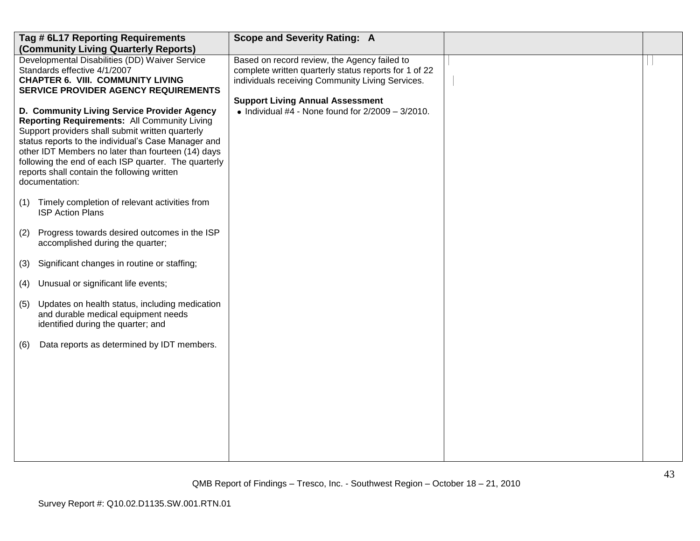|                                                                                                                                                                                                                                                                                                                                                                                              | Tag # 6L17 Reporting Requirements<br>(Community Living Quarterly Reports)                                                   | <b>Scope and Severity Rating: A</b>                                                                                                                       |  |
|----------------------------------------------------------------------------------------------------------------------------------------------------------------------------------------------------------------------------------------------------------------------------------------------------------------------------------------------------------------------------------------------|-----------------------------------------------------------------------------------------------------------------------------|-----------------------------------------------------------------------------------------------------------------------------------------------------------|--|
| Developmental Disabilities (DD) Waiver Service<br>Standards effective 4/1/2007<br><b>CHAPTER 6. VIII. COMMUNITY LIVING</b><br>SERVICE PROVIDER AGENCY REQUIREMENTS                                                                                                                                                                                                                           |                                                                                                                             | Based on record review, the Agency failed to<br>complete written quarterly status reports for 1 of 22<br>individuals receiving Community Living Services. |  |
| D. Community Living Service Provider Agency<br><b>Reporting Requirements: All Community Living</b><br>Support providers shall submit written quarterly<br>status reports to the individual's Case Manager and<br>other IDT Members no later than fourteen (14) days<br>following the end of each ISP quarter. The quarterly<br>reports shall contain the following written<br>documentation: |                                                                                                                             | <b>Support Living Annual Assessment</b><br>• Individual $#4$ - None found for $2/2009 - 3/2010$ .                                                         |  |
| (1)                                                                                                                                                                                                                                                                                                                                                                                          | Timely completion of relevant activities from<br><b>ISP Action Plans</b>                                                    |                                                                                                                                                           |  |
| (2)                                                                                                                                                                                                                                                                                                                                                                                          | Progress towards desired outcomes in the ISP<br>accomplished during the quarter;                                            |                                                                                                                                                           |  |
| (3)                                                                                                                                                                                                                                                                                                                                                                                          | Significant changes in routine or staffing;                                                                                 |                                                                                                                                                           |  |
| (4)                                                                                                                                                                                                                                                                                                                                                                                          | Unusual or significant life events;                                                                                         |                                                                                                                                                           |  |
| (5)                                                                                                                                                                                                                                                                                                                                                                                          | Updates on health status, including medication<br>and durable medical equipment needs<br>identified during the quarter; and |                                                                                                                                                           |  |
| (6)                                                                                                                                                                                                                                                                                                                                                                                          | Data reports as determined by IDT members.                                                                                  |                                                                                                                                                           |  |
|                                                                                                                                                                                                                                                                                                                                                                                              |                                                                                                                             |                                                                                                                                                           |  |
|                                                                                                                                                                                                                                                                                                                                                                                              |                                                                                                                             |                                                                                                                                                           |  |
|                                                                                                                                                                                                                                                                                                                                                                                              |                                                                                                                             |                                                                                                                                                           |  |
|                                                                                                                                                                                                                                                                                                                                                                                              |                                                                                                                             |                                                                                                                                                           |  |
|                                                                                                                                                                                                                                                                                                                                                                                              |                                                                                                                             |                                                                                                                                                           |  |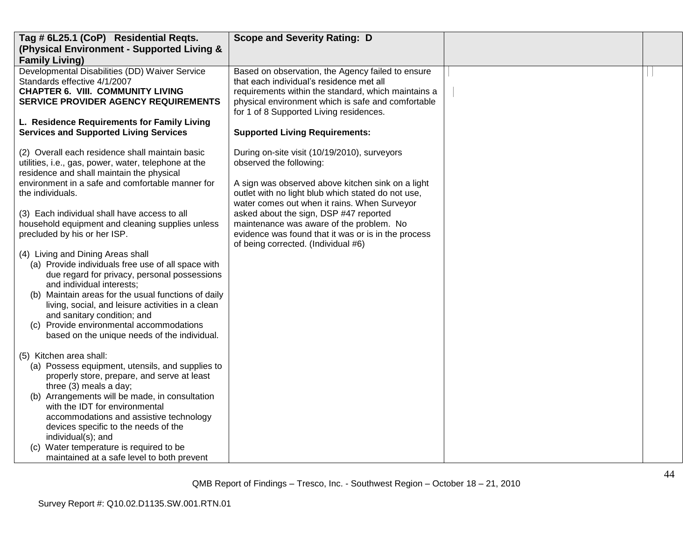| Tag # 6L25.1 (CoP) Residential Reqts.                                                             | <b>Scope and Severity Rating: D</b>                                                           |  |
|---------------------------------------------------------------------------------------------------|-----------------------------------------------------------------------------------------------|--|
| (Physical Environment - Supported Living &                                                        |                                                                                               |  |
| <b>Family Living)</b>                                                                             |                                                                                               |  |
| Developmental Disabilities (DD) Waiver Service                                                    | Based on observation, the Agency failed to ensure                                             |  |
| Standards effective 4/1/2007                                                                      | that each individual's residence met all                                                      |  |
| <b>CHAPTER 6. VIII. COMMUNITY LIVING</b><br><b>SERVICE PROVIDER AGENCY REQUIREMENTS</b>           | requirements within the standard, which maintains a                                           |  |
|                                                                                                   | physical environment which is safe and comfortable<br>for 1 of 8 Supported Living residences. |  |
| L. Residence Requirements for Family Living                                                       |                                                                                               |  |
| <b>Services and Supported Living Services</b>                                                     | <b>Supported Living Requirements:</b>                                                         |  |
| (2) Overall each residence shall maintain basic                                                   | During on-site visit (10/19/2010), surveyors                                                  |  |
| utilities, i.e., gas, power, water, telephone at the<br>residence and shall maintain the physical | observed the following:                                                                       |  |
| environment in a safe and comfortable manner for                                                  | A sign was observed above kitchen sink on a light                                             |  |
| the individuals.                                                                                  | outlet with no light blub which stated do not use,                                            |  |
|                                                                                                   | water comes out when it rains. When Surveyor                                                  |  |
| (3) Each individual shall have access to all                                                      | asked about the sign, DSP #47 reported                                                        |  |
| household equipment and cleaning supplies unless                                                  | maintenance was aware of the problem. No                                                      |  |
| precluded by his or her ISP.                                                                      | evidence was found that it was or is in the process<br>of being corrected. (Individual #6)    |  |
| (4) Living and Dining Areas shall                                                                 |                                                                                               |  |
| (a) Provide individuals free use of all space with                                                |                                                                                               |  |
| due regard for privacy, personal possessions                                                      |                                                                                               |  |
| and individual interests;                                                                         |                                                                                               |  |
| (b) Maintain areas for the usual functions of daily                                               |                                                                                               |  |
| living, social, and leisure activities in a clean                                                 |                                                                                               |  |
| and sanitary condition; and<br>(c) Provide environmental accommodations                           |                                                                                               |  |
| based on the unique needs of the individual.                                                      |                                                                                               |  |
|                                                                                                   |                                                                                               |  |
| (5) Kitchen area shall:                                                                           |                                                                                               |  |
| (a) Possess equipment, utensils, and supplies to                                                  |                                                                                               |  |
| properly store, prepare, and serve at least                                                       |                                                                                               |  |
| three (3) meals a day;                                                                            |                                                                                               |  |
| (b) Arrangements will be made, in consultation<br>with the IDT for environmental                  |                                                                                               |  |
| accommodations and assistive technology                                                           |                                                                                               |  |
| devices specific to the needs of the                                                              |                                                                                               |  |
| individual(s); and                                                                                |                                                                                               |  |
| (c) Water temperature is required to be                                                           |                                                                                               |  |
| maintained at a safe level to both prevent                                                        |                                                                                               |  |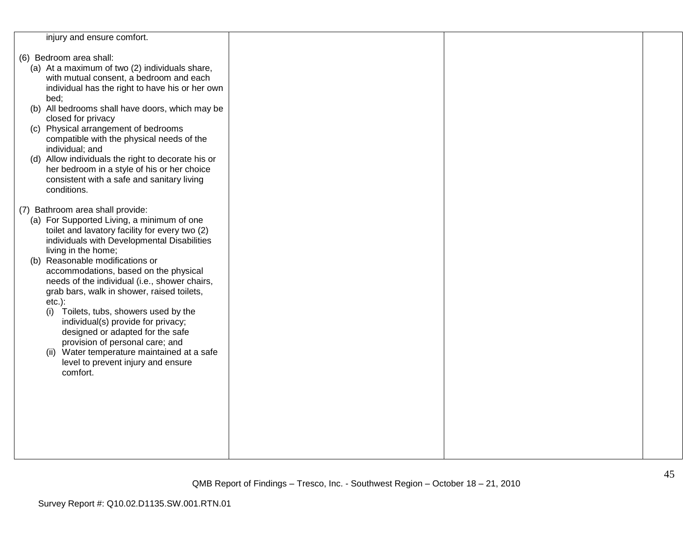| injury and ensure comfort.                                                                    |  |  |
|-----------------------------------------------------------------------------------------------|--|--|
| (6) Bedroom area shall:                                                                       |  |  |
| (a) At a maximum of two (2) individuals share,                                                |  |  |
| with mutual consent, a bedroom and each                                                       |  |  |
| individual has the right to have his or her own                                               |  |  |
| bed;                                                                                          |  |  |
| (b) All bedrooms shall have doors, which may be<br>closed for privacy                         |  |  |
| (c) Physical arrangement of bedrooms                                                          |  |  |
| compatible with the physical needs of the                                                     |  |  |
| individual; and                                                                               |  |  |
| (d) Allow individuals the right to decorate his or                                            |  |  |
| her bedroom in a style of his or her choice<br>consistent with a safe and sanitary living     |  |  |
| conditions.                                                                                   |  |  |
|                                                                                               |  |  |
| (7) Bathroom area shall provide:                                                              |  |  |
| (a) For Supported Living, a minimum of one                                                    |  |  |
| toilet and lavatory facility for every two (2)<br>individuals with Developmental Disabilities |  |  |
| living in the home;                                                                           |  |  |
| (b) Reasonable modifications or                                                               |  |  |
| accommodations, based on the physical                                                         |  |  |
| needs of the individual (i.e., shower chairs,                                                 |  |  |
| grab bars, walk in shower, raised toilets,<br>$etc.$ ):                                       |  |  |
| Toilets, tubs, showers used by the<br>(i)                                                     |  |  |
| individual(s) provide for privacy;                                                            |  |  |
| designed or adapted for the safe                                                              |  |  |
| provision of personal care; and                                                               |  |  |
| (ii) Water temperature maintained at a safe<br>level to prevent injury and ensure             |  |  |
| comfort.                                                                                      |  |  |
|                                                                                               |  |  |
|                                                                                               |  |  |
|                                                                                               |  |  |
|                                                                                               |  |  |
|                                                                                               |  |  |
|                                                                                               |  |  |
|                                                                                               |  |  |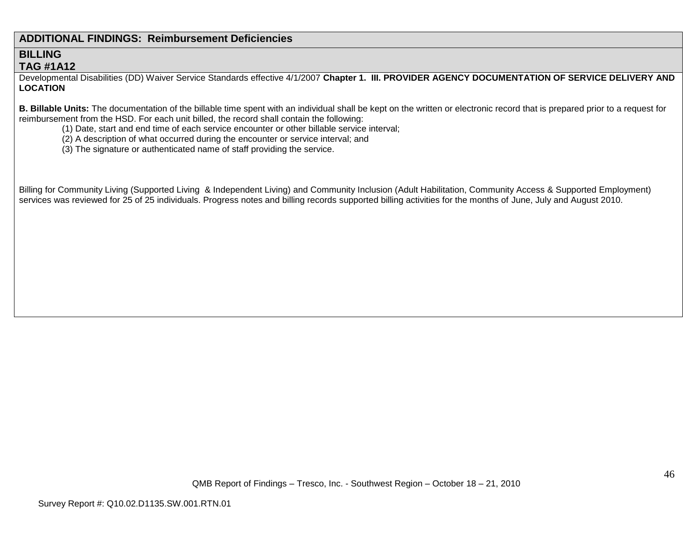# **ADDITIONAL FINDINGS: Reimbursement Deficiencies**

# **BILLING TAG #1A12**

Developmental Disabilities (DD) Waiver Service Standards effective 4/1/2007 **Chapter 1. III. PROVIDER AGENCY DOCUMENTATION OF SERVICE DELIVERY AND LOCATION**

**B. Billable Units:** The documentation of the billable time spent with an individual shall be kept on the written or electronic record that is prepared prior to a request for reimbursement from the HSD. For each unit billed, the record shall contain the following:

- (1) Date, start and end time of each service encounter or other billable service interval;
- (2) A description of what occurred during the encounter or service interval; and
- (3) The signature or authenticated name of staff providing the service.

Billing for Community Living (Supported Living & Independent Living) and Community Inclusion (Adult Habilitation, Community Access & Supported Employment) services was reviewed for 25 of 25 individuals. Progress notes and billing records supported billing activities for the months of June, July and August 2010.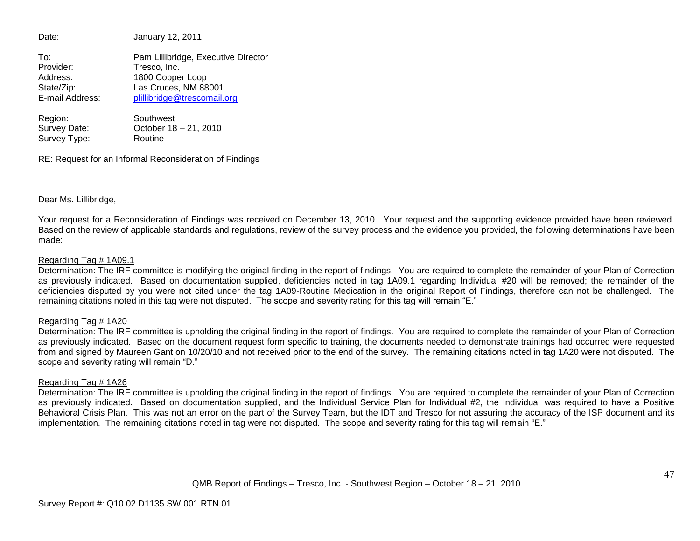Date: January 12, 2011 To: Pam Lillibridge, Executive Director

Provider: Tresco, Inc. Address: 1800 Copper Loop State/Zip: Las Cruces, NM 88001 E-mail Address: [plillibridge@trescomail.org](mailto:plillibridge@trescomail.org)

Region: Southwest Survey Date: October 18 – 21, 2010 Survey Type: Routine

RE: Request for an Informal Reconsideration of Findings

### Dear Ms. Lillibridge,

Your request for a Reconsideration of Findings was received on December 13, 2010. Your request and the supporting evidence provided have been reviewed. Based on the review of applicable standards and regulations, review of the survey process and the evidence you provided, the following determinations have been made:

### Regarding Tag # 1A09.1

Determination: The IRF committee is modifying the original finding in the report of findings. You are required to complete the remainder of your Plan of Correction as previously indicated. Based on documentation supplied, deficiencies noted in tag 1A09.1 regarding Individual #20 will be removed; the remainder of the deficiencies disputed by you were not cited under the tag 1A09-Routine Medication in the original Report of Findings, therefore can not be challenged. The remaining citations noted in this tag were not disputed. The scope and severity rating for this tag will remain "E."

### Regarding Tag # 1A20

Determination: The IRF committee is upholding the original finding in the report of findings. You are required to complete the remainder of your Plan of Correction as previously indicated. Based on the document request form specific to training, the documents needed to demonstrate trainings had occurred were requested from and signed by Maureen Gant on 10/20/10 and not received prior to the end of the survey. The remaining citations noted in tag 1A20 were not disputed. The scope and severity rating will remain "D."

### Regarding Tag # 1A26

Determination: The IRF committee is upholding the original finding in the report of findings. You are required to complete the remainder of your Plan of Correction as previously indicated. Based on documentation supplied, and the Individual Service Plan for Individual #2, the Individual was required to have a Positive Behavioral Crisis Plan. This was not an error on the part of the Survey Team, but the IDT and Tresco for not assuring the accuracy of the ISP document and its implementation. The remaining citations noted in tag were not disputed. The scope and severity rating for this tag will remain "E."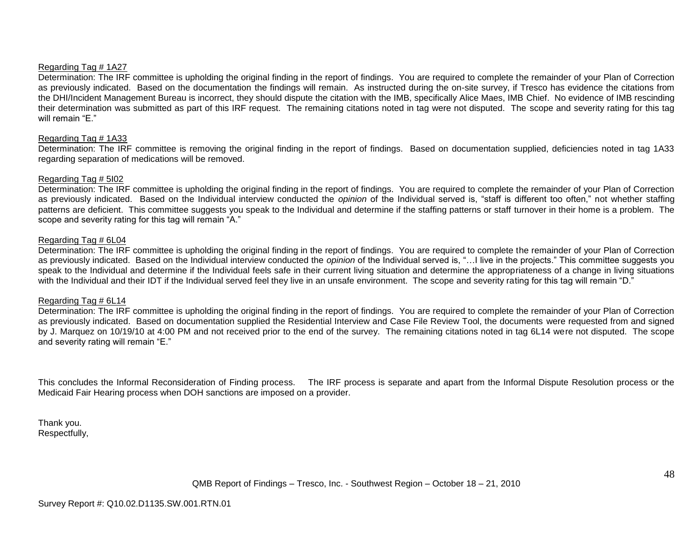### Regarding Tag # 1A27

Determination: The IRF committee is upholding the original finding in the report of findings. You are required to complete the remainder of your Plan of Correction as previously indicated. Based on the documentation the findings will remain. As instructed during the on-site survey, if Tresco has evidence the citations from the DHI/Incident Management Bureau is incorrect, they should dispute the citation with the IMB, specifically Alice Maes, IMB Chief. No evidence of IMB rescinding their determination was submitted as part of this IRF request. The remaining citations noted in tag were not disputed. The scope and severity rating for this tag will remain "E."

### Regarding Tag # 1A33

Determination: The IRF committee is removing the original finding in the report of findings. Based on documentation supplied, deficiencies noted in tag 1A33 regarding separation of medications will be removed.

### Regarding Tag # 5I02

Determination: The IRF committee is upholding the original finding in the report of findings. You are required to complete the remainder of your Plan of Correction as previously indicated. Based on the Individual interview conducted the *opinion* of the Individual served is, "staff is different too often," not whether staffing patterns are deficient. This committee suggests you speak to the Individual and determine if the staffing patterns or staff turnover in their home is a problem. The scope and severity rating for this tag will remain "A."

### Regarding Tag # 6L04

Determination: The IRF committee is upholding the original finding in the report of findings. You are required to complete the remainder of your Plan of Correction as previously indicated. Based on the Individual interview conducted the *opinion* of the Individual served is, "…I live in the projects." This committee suggests you speak to the Individual and determine if the Individual feels safe in their current living situation and determine the appropriateness of a change in living situations with the Individual and their IDT if the Individual served feel they live in an unsafe environment. The scope and severity rating for this tag will remain "D."

### Regarding Tag # 6L14

Determination: The IRF committee is upholding the original finding in the report of findings. You are required to complete the remainder of your Plan of Correction as previously indicated. Based on documentation supplied the Residential Interview and Case File Review Tool, the documents were requested from and signed by J. Marquez on 10/19/10 at 4:00 PM and not received prior to the end of the survey. The remaining citations noted in tag 6L14 were not disputed. The scope and severity rating will remain "E."

This concludes the Informal Reconsideration of Finding process. The IRF process is separate and apart from the Informal Dispute Resolution process or the Medicaid Fair Hearing process when DOH sanctions are imposed on a provider.

Thank you. Respectfully,